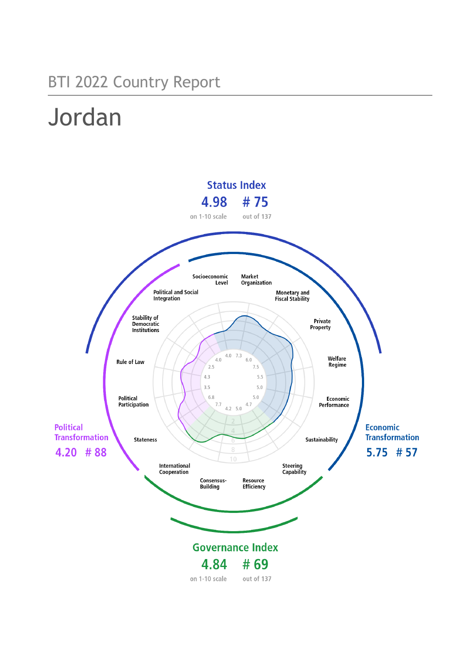## BTI 2022 Country Report

# Jordan

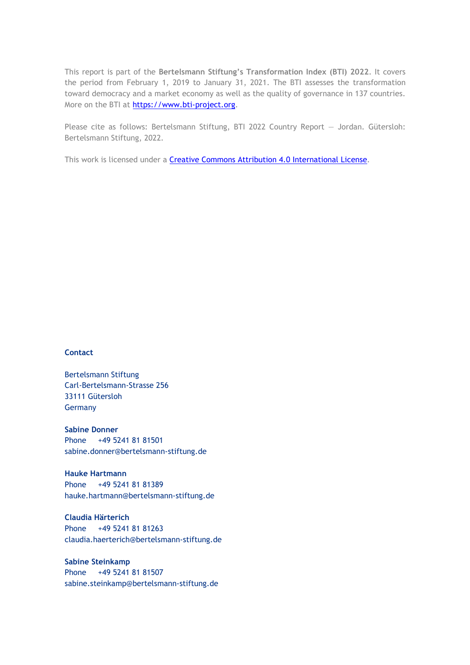This report is part of the **Bertelsmann Stiftung's Transformation Index (BTI) 2022**. It covers the period from February 1, 2019 to January 31, 2021. The BTI assesses the transformation toward democracy and a market economy as well as the quality of governance in 137 countries. More on the BTI at [https://www.bti-project.org.](https://www.bti-project.org/)

Please cite as follows: Bertelsmann Stiftung, BTI 2022 Country Report — Jordan. Gütersloh: Bertelsmann Stiftung, 2022.

This work is licensed under a **Creative Commons Attribution 4.0 International License**.

#### **Contact**

Bertelsmann Stiftung Carl-Bertelsmann-Strasse 256 33111 Gütersloh Germany

**Sabine Donner** Phone +49 5241 81 81501 sabine.donner@bertelsmann-stiftung.de

**Hauke Hartmann** Phone +49 5241 81 81389 hauke.hartmann@bertelsmann-stiftung.de

**Claudia Härterich** Phone +49 5241 81 81263 claudia.haerterich@bertelsmann-stiftung.de

**Sabine Steinkamp** Phone +49 5241 81 81507 sabine.steinkamp@bertelsmann-stiftung.de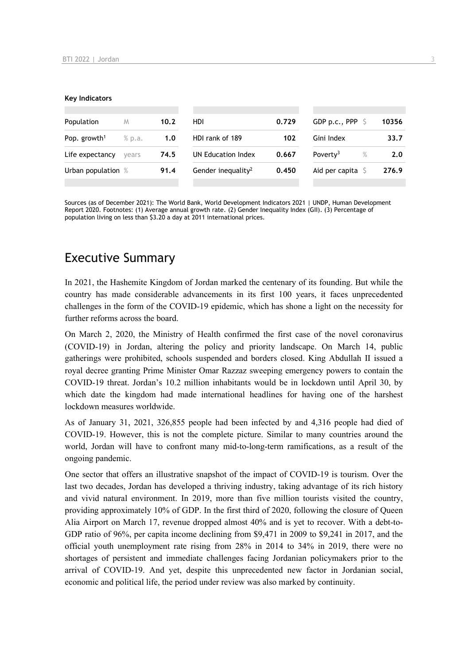#### **Key Indicators**

| Population               | M      | 10.2 | <b>HDI</b>                     | 0.729 | GDP p.c., PPP             | 10356 |
|--------------------------|--------|------|--------------------------------|-------|---------------------------|-------|
| Pop. growth <sup>1</sup> | % p.a. | 1.0  | HDI rank of 189                | 102   | Gini Index                | 33.7  |
| Life expectancy          | vears  | 74.5 | UN Education Index             | 0.667 | Poverty <sup>3</sup><br>% | 2.0   |
| Urban population %       |        | 91.4 | Gender inequality <sup>2</sup> | 0.450 | Aid per capita            | 276.9 |
|                          |        |      |                                |       |                           |       |

Sources (as of December 2021): The World Bank, World Development Indicators 2021 | UNDP, Human Development Report 2020. Footnotes: (1) Average annual growth rate. (2) Gender Inequality Index (GII). (3) Percentage of population living on less than \$3.20 a day at 2011 international prices.

## Executive Summary

In 2021, the Hashemite Kingdom of Jordan marked the centenary of its founding. But while the country has made considerable advancements in its first 100 years, it faces unprecedented challenges in the form of the COVID-19 epidemic, which has shone a light on the necessity for further reforms across the board.

On March 2, 2020, the Ministry of Health confirmed the first case of the novel coronavirus (COVID-19) in Jordan, altering the policy and priority landscape. On March 14, public gatherings were prohibited, schools suspended and borders closed. King Abdullah II issued a royal decree granting Prime Minister Omar Razzaz sweeping emergency powers to contain the COVID-19 threat. Jordan's 10.2 million inhabitants would be in lockdown until April 30, by which date the kingdom had made international headlines for having one of the harshest lockdown measures worldwide.

As of January 31, 2021, 326,855 people had been infected by and 4,316 people had died of COVID-19. However, this is not the complete picture. Similar to many countries around the world, Jordan will have to confront many mid-to-long-term ramifications, as a result of the ongoing pandemic.

One sector that offers an illustrative snapshot of the impact of COVID-19 is tourism. Over the last two decades, Jordan has developed a thriving industry, taking advantage of its rich history and vivid natural environment. In 2019, more than five million tourists visited the country, providing approximately 10% of GDP. In the first third of 2020, following the closure of Queen Alia Airport on March 17, revenue dropped almost 40% and is yet to recover. With a debt-to-GDP ratio of 96%, per capita income declining from \$9,471 in 2009 to \$9,241 in 2017, and the official youth unemployment rate rising from 28% in 2014 to 34% in 2019, there were no shortages of persistent and immediate challenges facing Jordanian policymakers prior to the arrival of COVID-19. And yet, despite this unprecedented new factor in Jordanian social, economic and political life, the period under review was also marked by continuity.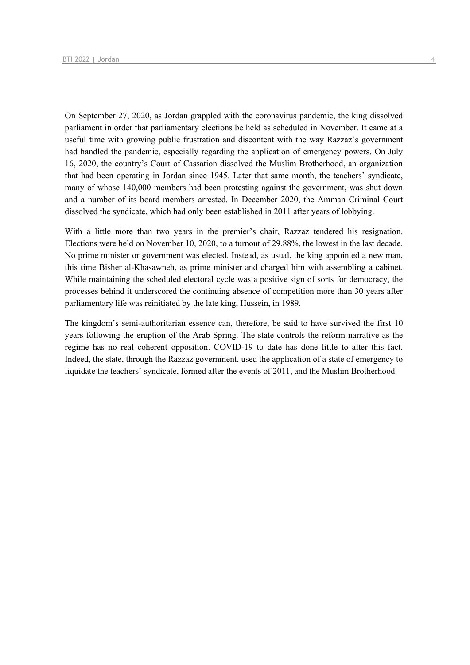On September 27, 2020, as Jordan grappled with the coronavirus pandemic, the king dissolved parliament in order that parliamentary elections be held as scheduled in November. It came at a useful time with growing public frustration and discontent with the way Razzaz's government had handled the pandemic, especially regarding the application of emergency powers. On July 16, 2020, the country's Court of Cassation dissolved the Muslim Brotherhood, an organization that had been operating in Jordan since 1945. Later that same month, the teachers' syndicate, many of whose 140,000 members had been protesting against the government, was shut down and a number of its board members arrested. In December 2020, the Amman Criminal Court dissolved the syndicate, which had only been established in 2011 after years of lobbying.

With a little more than two years in the premier's chair, Razzaz tendered his resignation. Elections were held on November 10, 2020, to a turnout of 29.88%, the lowest in the last decade. No prime minister or government was elected. Instead, as usual, the king appointed a new man, this time Bisher al-Khasawneh, as prime minister and charged him with assembling a cabinet. While maintaining the scheduled electoral cycle was a positive sign of sorts for democracy, the processes behind it underscored the continuing absence of competition more than 30 years after parliamentary life was reinitiated by the late king, Hussein, in 1989.

The kingdom's semi-authoritarian essence can, therefore, be said to have survived the first 10 years following the eruption of the Arab Spring. The state controls the reform narrative as the regime has no real coherent opposition. COVID-19 to date has done little to alter this fact. Indeed, the state, through the Razzaz government, used the application of a state of emergency to liquidate the teachers' syndicate, formed after the events of 2011, and the Muslim Brotherhood.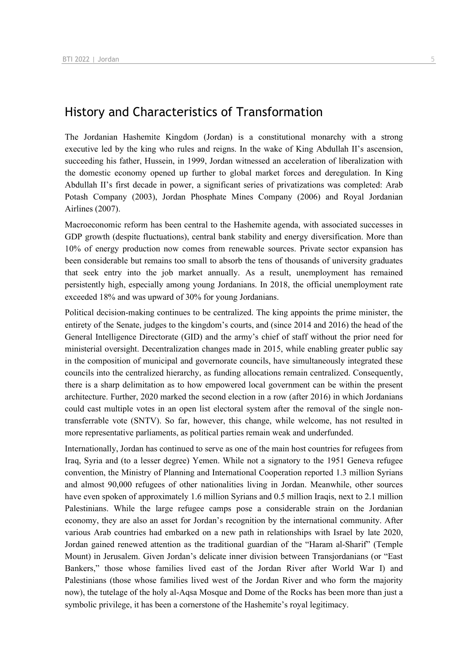## History and Characteristics of Transformation

The Jordanian Hashemite Kingdom (Jordan) is a constitutional monarchy with a strong executive led by the king who rules and reigns. In the wake of King Abdullah II's ascension, succeeding his father, Hussein, in 1999, Jordan witnessed an acceleration of liberalization with the domestic economy opened up further to global market forces and deregulation. In King Abdullah II's first decade in power, a significant series of privatizations was completed: Arab Potash Company (2003), Jordan Phosphate Mines Company (2006) and Royal Jordanian Airlines (2007).

Macroeconomic reform has been central to the Hashemite agenda, with associated successes in GDP growth (despite fluctuations), central bank stability and energy diversification. More than 10% of energy production now comes from renewable sources. Private sector expansion has been considerable but remains too small to absorb the tens of thousands of university graduates that seek entry into the job market annually. As a result, unemployment has remained persistently high, especially among young Jordanians. In 2018, the official unemployment rate exceeded 18% and was upward of 30% for young Jordanians.

Political decision-making continues to be centralized. The king appoints the prime minister, the entirety of the Senate, judges to the kingdom's courts, and (since 2014 and 2016) the head of the General Intelligence Directorate (GID) and the army's chief of staff without the prior need for ministerial oversight. Decentralization changes made in 2015, while enabling greater public say in the composition of municipal and governorate councils, have simultaneously integrated these councils into the centralized hierarchy, as funding allocations remain centralized. Consequently, there is a sharp delimitation as to how empowered local government can be within the present architecture. Further, 2020 marked the second election in a row (after 2016) in which Jordanians could cast multiple votes in an open list electoral system after the removal of the single nontransferrable vote (SNTV). So far, however, this change, while welcome, has not resulted in more representative parliaments, as political parties remain weak and underfunded.

Internationally, Jordan has continued to serve as one of the main host countries for refugees from Iraq, Syria and (to a lesser degree) Yemen. While not a signatory to the 1951 Geneva refugee convention, the Ministry of Planning and International Cooperation reported 1.3 million Syrians and almost 90,000 refugees of other nationalities living in Jordan. Meanwhile, other sources have even spoken of approximately 1.6 million Syrians and 0.5 million Iraqis, next to 2.1 million Palestinians. While the large refugee camps pose a considerable strain on the Jordanian economy, they are also an asset for Jordan's recognition by the international community. After various Arab countries had embarked on a new path in relationships with Israel by late 2020, Jordan gained renewed attention as the traditional guardian of the "Haram al-Sharif" (Temple Mount) in Jerusalem. Given Jordan's delicate inner division between Transjordanians (or "East Bankers," those whose families lived east of the Jordan River after World War I) and Palestinians (those whose families lived west of the Jordan River and who form the majority now), the tutelage of the holy al-Aqsa Mosque and Dome of the Rocks has been more than just a symbolic privilege, it has been a cornerstone of the Hashemite's royal legitimacy.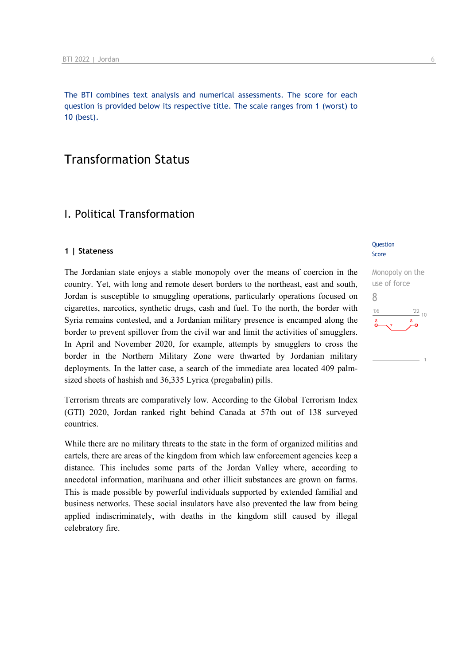The BTI combines text analysis and numerical assessments. The score for each question is provided below its respective title. The scale ranges from 1 (worst) to 10 (best).

## Transformation Status

## I. Political Transformation

#### **1 | Stateness**

The Jordanian state enjoys a stable monopoly over the means of coercion in the country. Yet, with long and remote desert borders to the northeast, east and south, Jordan is susceptible to smuggling operations, particularly operations focused on cigarettes, narcotics, synthetic drugs, cash and fuel. To the north, the border with Syria remains contested, and a Jordanian military presence is encamped along the border to prevent spillover from the civil war and limit the activities of smugglers. In April and November 2020, for example, attempts by smugglers to cross the border in the Northern Military Zone were thwarted by Jordanian military deployments. In the latter case, a search of the immediate area located 409 palmsized sheets of hashish and 36,335 Lyrica (pregabalin) pills.

Terrorism threats are comparatively low. According to the Global Terrorism Index (GTI) 2020, Jordan ranked right behind Canada at 57th out of 138 surveyed countries.

While there are no military threats to the state in the form of organized militias and cartels, there are areas of the kingdom from which law enforcement agencies keep a distance. This includes some parts of the Jordan Valley where, according to anecdotal information, marihuana and other illicit substances are grown on farms. This is made possible by powerful individuals supported by extended familial and business networks. These social insulators have also prevented the law from being applied indiscriminately, with deaths in the kingdom still caused by illegal celebratory fire.

#### **Question** Score

Monopoly on the use of force 8 $\frac{22}{10}$  $n<sub>f</sub>$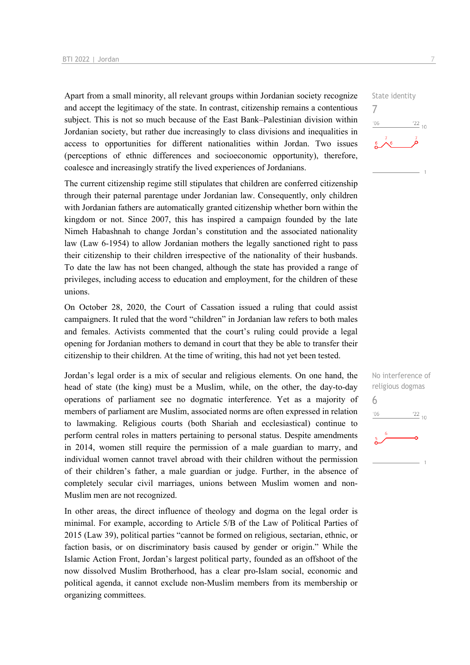Apart from a small minority, all relevant groups within Jordanian society recognize and accept the legitimacy of the state. In contrast, citizenship remains a contentious subject. This is not so much because of the East Bank–Palestinian division within Jordanian society, but rather due increasingly to class divisions and inequalities in access to opportunities for different nationalities within Jordan. Two issues (perceptions of ethnic differences and socioeconomic opportunity), therefore, coalesce and increasingly stratify the lived experiences of Jordanians.

The current citizenship regime still stipulates that children are conferred citizenship through their paternal parentage under Jordanian law. Consequently, only children with Jordanian fathers are automatically granted citizenship whether born within the kingdom or not. Since 2007, this has inspired a campaign founded by the late Nimeh Habashnah to change Jordan's constitution and the associated nationality law (Law 6-1954) to allow Jordanian mothers the legally sanctioned right to pass their citizenship to their children irrespective of the nationality of their husbands. To date the law has not been changed, although the state has provided a range of privileges, including access to education and employment, for the children of these unions.

On October 28, 2020, the Court of Cassation issued a ruling that could assist campaigners. It ruled that the word "children" in Jordanian law refers to both males and females. Activists commented that the court's ruling could provide a legal opening for Jordanian mothers to demand in court that they be able to transfer their citizenship to their children. At the time of writing, this had not yet been tested.

Jordan's legal order is a mix of secular and religious elements. On one hand, the head of state (the king) must be a Muslim, while, on the other, the day-to-day operations of parliament see no dogmatic interference. Yet as a majority of members of parliament are Muslim, associated norms are often expressed in relation to lawmaking. Religious courts (both Shariah and ecclesiastical) continue to perform central roles in matters pertaining to personal status. Despite amendments in 2014, women still require the permission of a male guardian to marry, and individual women cannot travel abroad with their children without the permission of their children's father, a male guardian or judge. Further, in the absence of completely secular civil marriages, unions between Muslim women and non-Muslim men are not recognized.

In other areas, the direct influence of theology and dogma on the legal order is minimal. For example, according to Article 5/B of the Law of Political Parties of 2015 (Law 39), political parties "cannot be formed on religious, sectarian, ethnic, or faction basis, or on discriminatory basis caused by gender or origin." While the Islamic Action Front, Jordan's largest political party, founded as an offshoot of the now dissolved Muslim Brotherhood, has a clear pro-Islam social, economic and political agenda, it cannot exclude non-Muslim members from its membership or organizing committees.



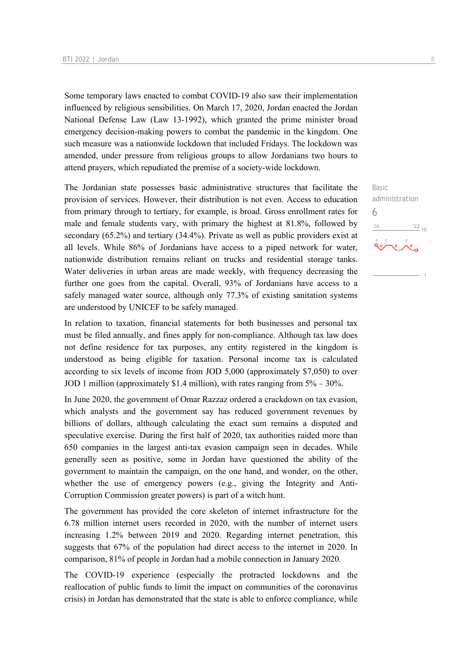Some temporary laws enacted to combat COVID-19 also saw their implementation influenced by religious sensibilities. On March 17, 2020, Jordan enacted the Jordan National Defense Law (Law 13-1992), which granted the prime minister broad emergency decision-making powers to combat the pandemic in the kingdom. One such measure was a nationwide lockdown that included Fridays. The lockdown was amended, under pressure from religious groups to allow Jordanians two hours to attend prayers, which repudiated the premise of a society-wide lockdown.

The Jordanian state possesses basic administrative structures that facilitate the provision of services. However, their distribution is not even. Access to education from primary through to tertiary, for example, is broad. Gross enrollment rates for male and female students vary, with primary the highest at 81.8%, followed by secondary (65.2%) and tertiary (34.4%). Private as well as public providers exist at all levels. While 86% of Jordanians have access to a piped network for water, nationwide distribution remains reliant on trucks and residential storage tanks. Water deliveries in urban areas are made weekly, with frequency decreasing the further one goes from the capital. Overall, 93% of Jordanians have access to a safely managed water source, although only 77.3% of existing sanitation systems are understood by UNICEF to be safely managed.

In relation to taxation, financial statements for both businesses and personal tax must be filed annually, and fines apply for non-compliance. Although tax law does not define residence for tax purposes, any entity registered in the kingdom is understood as being eligible for taxation. Personal income tax is calculated according to six levels of income from JOD 5,000 (approximately \$7,050) to over JOD 1 million (approximately \$1.4 million), with rates ranging from 5% – 30%.

In June 2020, the government of Omar Razzaz ordered a crackdown on tax evasion, which analysts and the government say has reduced government revenues by billions of dollars, although calculating the exact sum remains a disputed and speculative exercise. During the first half of 2020, tax authorities raided more than 650 companies in the largest anti-tax evasion campaign seen in decades. While generally seen as positive, some in Jordan have questioned the ability of the government to maintain the campaign, on the one hand, and wonder, on the other, whether the use of emergency powers (e.g., giving the Integrity and Anti-Corruption Commission greater powers) is part of a witch hunt.

The government has provided the core skeleton of internet infrastructure for the 6.78 million internet users recorded in 2020, with the number of internet users increasing 1.2% between 2019 and 2020. Regarding internet penetration, this suggests that 67% of the population had direct access to the internet in 2020. In comparison, 81% of people in Jordan had a mobile connection in January 2020.

The COVID-19 experience (especially the protracted lockdowns and the reallocation of public funds to limit the impact on communities of the coronavirus crisis) in Jordan has demonstrated that the state is able to enforce compliance, while administration  $\frac{1}{22}$  10

 $\frac{7}{2}$ 

Basic

6

 $-10<sup>1</sup>$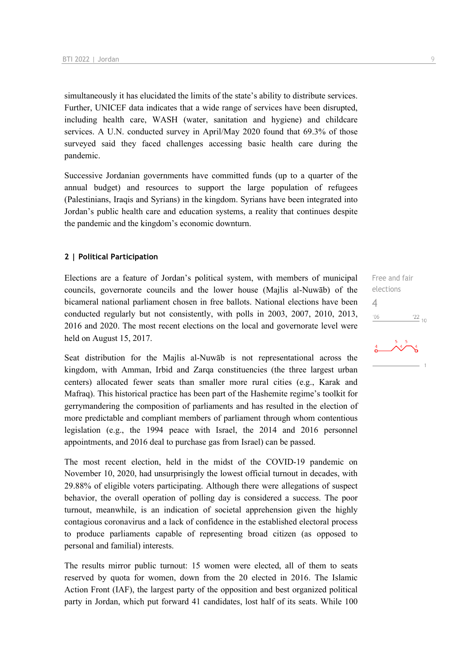simultaneously it has elucidated the limits of the state's ability to distribute services. Further, UNICEF data indicates that a wide range of services have been disrupted, including health care, WASH (water, sanitation and hygiene) and childcare services. A U.N. conducted survey in April/May 2020 found that 69.3% of those surveyed said they faced challenges accessing basic health care during the pandemic.

Successive Jordanian governments have committed funds (up to a quarter of the annual budget) and resources to support the large population of refugees (Palestinians, Iraqis and Syrians) in the kingdom. Syrians have been integrated into Jordan's public health care and education systems, a reality that continues despite the pandemic and the kingdom's economic downturn.

#### **2 | Political Participation**

Elections are a feature of Jordan's political system, with members of municipal councils, governorate councils and the lower house (Majlis al-Nuwāb) of the bicameral national parliament chosen in free ballots. National elections have been conducted regularly but not consistently, with polls in 2003, 2007, 2010, 2013, 2016 and 2020. The most recent elections on the local and governorate level were held on August 15, 2017.

Seat distribution for the Majlis al-Nuwāb is not representational across the kingdom, with Amman, Irbid and Zarqa constituencies (the three largest urban centers) allocated fewer seats than smaller more rural cities (e.g., Karak and Mafraq). This historical practice has been part of the Hashemite regime's toolkit for gerrymandering the composition of parliaments and has resulted in the election of more predictable and compliant members of parliament through whom contentious legislation (e.g., the 1994 peace with Israel, the 2014 and 2016 personnel appointments, and 2016 deal to purchase gas from Israel) can be passed.

The most recent election, held in the midst of the COVID-19 pandemic on November 10, 2020, had unsurprisingly the lowest official turnout in decades, with 29.88% of eligible voters participating. Although there were allegations of suspect behavior, the overall operation of polling day is considered a success. The poor turnout, meanwhile, is an indication of societal apprehension given the highly contagious coronavirus and a lack of confidence in the established electoral process to produce parliaments capable of representing broad citizen (as opposed to personal and familial) interests.

The results mirror public turnout: 15 women were elected, all of them to seats reserved by quota for women, down from the 20 elected in 2016. The Islamic Action Front (IAF), the largest party of the opposition and best organized political party in Jordan, which put forward 41 candidates, lost half of its seats. While 100

Free and fair elections 4 $-06$  $\frac{22}{10}$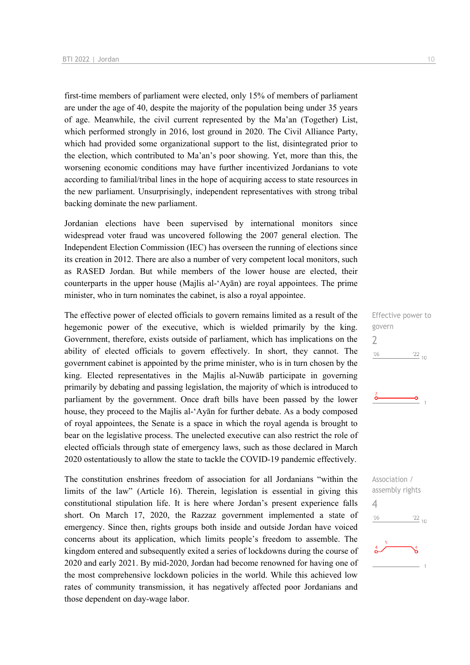first-time members of parliament were elected, only 15% of members of parliament are under the age of 40, despite the majority of the population being under 35 years of age. Meanwhile, the civil current represented by the Ma'an (Together) List, which performed strongly in 2016, lost ground in 2020. The Civil Alliance Party, which had provided some organizational support to the list, disintegrated prior to the election, which contributed to Ma'an's poor showing. Yet, more than this, the worsening economic conditions may have further incentivized Jordanians to vote according to familial/tribal lines in the hope of acquiring access to state resources in the new parliament. Unsurprisingly, independent representatives with strong tribal backing dominate the new parliament.

Jordanian elections have been supervised by international monitors since widespread voter fraud was uncovered following the 2007 general election. The Independent Election Commission (IEC) has overseen the running of elections since its creation in 2012. There are also a number of very competent local monitors, such as RASED Jordan. But while members of the lower house are elected, their counterparts in the upper house (Majlis al-'Ayān) are royal appointees. The prime minister, who in turn nominates the cabinet, is also a royal appointee.

The effective power of elected officials to govern remains limited as a result of the hegemonic power of the executive, which is wielded primarily by the king. Government, therefore, exists outside of parliament, which has implications on the ability of elected officials to govern effectively. In short, they cannot. The government cabinet is appointed by the prime minister, who is in turn chosen by the king. Elected representatives in the Majlis al-Nuwāb participate in governing primarily by debating and passing legislation, the majority of which is introduced to parliament by the government. Once draft bills have been passed by the lower house, they proceed to the Majlis al-'Ayān for further debate. As a body composed of royal appointees, the Senate is a space in which the royal agenda is brought to bear on the legislative process. The unelected executive can also restrict the role of elected officials through state of emergency laws, such as those declared in March 2020 ostentatiously to allow the state to tackle the COVID-19 pandemic effectively.

The constitution enshrines freedom of association for all Jordanians "within the limits of the law" (Article 16). Therein, legislation is essential in giving this constitutional stipulation life. It is here where Jordan's present experience falls short. On March 17, 2020, the Razzaz government implemented a state of emergency. Since then, rights groups both inside and outside Jordan have voiced concerns about its application, which limits people's freedom to assemble. The kingdom entered and subsequently exited a series of lockdowns during the course of 2020 and early 2021. By mid-2020, Jordan had become renowned for having one of the most comprehensive lockdown policies in the world. While this achieved low rates of community transmission, it has negatively affected poor Jordanians and those dependent on day-wage labor.

Effective power to govern 2  $-06$  $\frac{22}{10}$ 

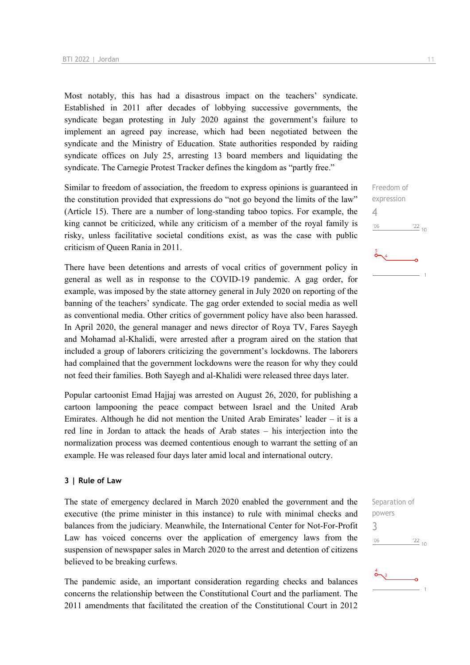Most notably, this has had a disastrous impact on the teachers' syndicate. Established in 2011 after decades of lobbying successive governments, the syndicate began protesting in July 2020 against the government's failure to implement an agreed pay increase, which had been negotiated between the syndicate and the Ministry of Education. State authorities responded by raiding syndicate offices on July 25, arresting 13 board members and liquidating the syndicate. The Carnegie Protest Tracker defines the kingdom as "partly free."

Similar to freedom of association, the freedom to express opinions is guaranteed in the constitution provided that expressions do "not go beyond the limits of the law" (Article 15). There are a number of long-standing taboo topics. For example, the king cannot be criticized, while any criticism of a member of the royal family is risky, unless facilitative societal conditions exist, as was the case with public criticism of Queen Rania in 2011.

There have been detentions and arrests of vocal critics of government policy in general as well as in response to the COVID-19 pandemic. A gag order, for example, was imposed by the state attorney general in July 2020 on reporting of the banning of the teachers' syndicate. The gag order extended to social media as well as conventional media. Other critics of government policy have also been harassed. In April 2020, the general manager and news director of Roya TV, Fares Sayegh and Mohamad al-Khalidi, were arrested after a program aired on the station that included a group of laborers criticizing the government's lockdowns. The laborers had complained that the government lockdowns were the reason for why they could not feed their families. Both Sayegh and al-Khalidi were released three days later.

Popular cartoonist Emad Hajjaj was arrested on August 26, 2020, for publishing a cartoon lampooning the peace compact between Israel and the United Arab Emirates. Although he did not mention the United Arab Emirates' leader – it is a red line in Jordan to attack the heads of Arab states – his interjection into the normalization process was deemed contentious enough to warrant the setting of an example. He was released four days later amid local and international outcry.

#### **3 | Rule of Law**

The state of emergency declared in March 2020 enabled the government and the executive (the prime minister in this instance) to rule with minimal checks and balances from the judiciary. Meanwhile, the International Center for Not-For-Profit Law has voiced concerns over the application of emergency laws from the suspension of newspaper sales in March 2020 to the arrest and detention of citizens believed to be breaking curfews.

The pandemic aside, an important consideration regarding checks and balances concerns the relationship between the Constitutional Court and the parliament. The 2011 amendments that facilitated the creation of the Constitutional Court in 2012

Freedom of expression 4  $-06$  $\frac{22}{10}$ 

Separation of powers 3 $06'$  $^{22}$  10

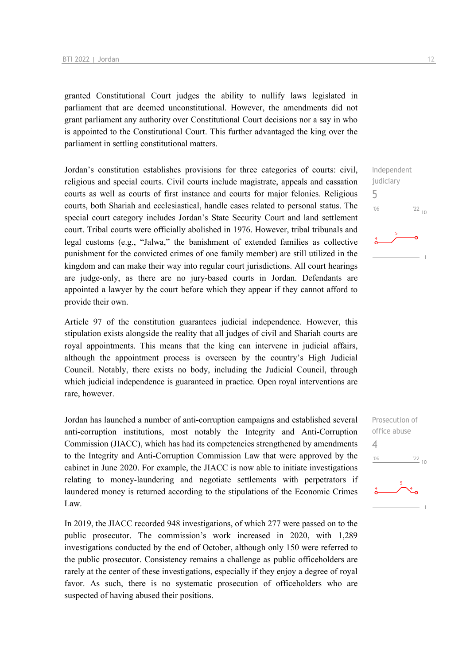granted Constitutional Court judges the ability to nullify laws legislated in parliament that are deemed unconstitutional. However, the amendments did not grant parliament any authority over Constitutional Court decisions nor a say in who is appointed to the Constitutional Court. This further advantaged the king over the parliament in settling constitutional matters.

Jordan's constitution establishes provisions for three categories of courts: civil, religious and special courts. Civil courts include magistrate, appeals and cassation courts as well as courts of first instance and courts for major felonies. Religious courts, both Shariah and ecclesiastical, handle cases related to personal status. The special court category includes Jordan's State Security Court and land settlement court. Tribal courts were officially abolished in 1976. However, tribal tribunals and legal customs (e.g., "Jalwa," the banishment of extended families as collective punishment for the convicted crimes of one family member) are still utilized in the kingdom and can make their way into regular court jurisdictions. All court hearings are judge-only, as there are no jury-based courts in Jordan. Defendants are appointed a lawyer by the court before which they appear if they cannot afford to provide their own.

Article 97 of the constitution guarantees judicial independence. However, this stipulation exists alongside the reality that all judges of civil and Shariah courts are royal appointments. This means that the king can intervene in judicial affairs, although the appointment process is overseen by the country's High Judicial Council. Notably, there exists no body, including the Judicial Council, through which judicial independence is guaranteed in practice. Open royal interventions are rare, however.

Jordan has launched a number of anti-corruption campaigns and established several anti-corruption institutions, most notably the Integrity and Anti-Corruption Commission (JIACC), which has had its competencies strengthened by amendments to the Integrity and Anti-Corruption Commission Law that were approved by the cabinet in June 2020. For example, the JIACC is now able to initiate investigations relating to money-laundering and negotiate settlements with perpetrators if laundered money is returned according to the stipulations of the Economic Crimes Law.

In 2019, the JIACC recorded 948 investigations, of which 277 were passed on to the public prosecutor. The commission's work increased in 2020, with 1,289 investigations conducted by the end of October, although only 150 were referred to the public prosecutor. Consistency remains a challenge as public officeholders are rarely at the center of these investigations, especially if they enjoy a degree of royal favor. As such, there is no systematic prosecution of officeholders who are suspected of having abused their positions.

Independent judiciary 5  $\frac{22}{10}$  $^{\prime}06$ 

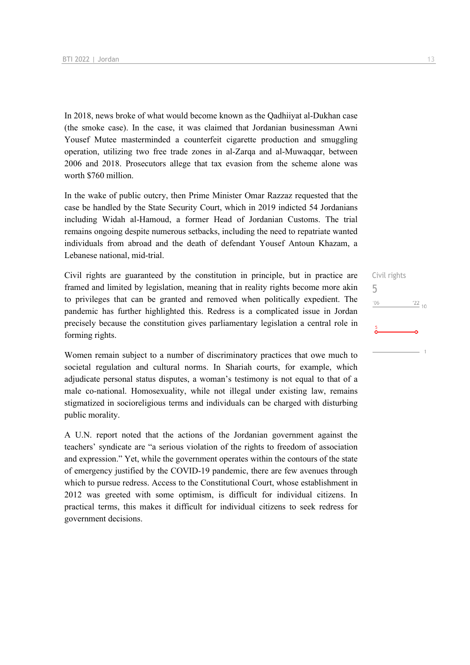In 2018, news broke of what would become known as the Qadhiiyat al-Dukhan case (the smoke case). In the case, it was claimed that Jordanian businessman Awni Yousef Mutee masterminded a counterfeit cigarette production and smuggling operation, utilizing two free trade zones in al-Zarqa and al-Muwaqqar, between 2006 and 2018. Prosecutors allege that tax evasion from the scheme alone was worth \$760 million.

In the wake of public outcry, then Prime Minister Omar Razzaz requested that the case be handled by the State Security Court, which in 2019 indicted 54 Jordanians including Widah al-Hamoud, a former Head of Jordanian Customs. The trial remains ongoing despite numerous setbacks, including the need to repatriate wanted individuals from abroad and the death of defendant Yousef Antoun Khazam, a Lebanese national, mid-trial.

Civil rights are guaranteed by the constitution in principle, but in practice are framed and limited by legislation, meaning that in reality rights become more akin to privileges that can be granted and removed when politically expedient. The pandemic has further highlighted this. Redress is a complicated issue in Jordan precisely because the constitution gives parliamentary legislation a central role in forming rights.

Women remain subject to a number of discriminatory practices that owe much to societal regulation and cultural norms. In Shariah courts, for example, which adjudicate personal status disputes, a woman's testimony is not equal to that of a male co-national. Homosexuality, while not illegal under existing law, remains stigmatized in socioreligious terms and individuals can be charged with disturbing public morality.

A U.N. report noted that the actions of the Jordanian government against the teachers' syndicate are "a serious violation of the rights to freedom of association and expression." Yet, while the government operates within the contours of the state of emergency justified by the COVID-19 pandemic, there are few avenues through which to pursue redress. Access to the Constitutional Court, whose establishment in 2012 was greeted with some optimism, is difficult for individual citizens. In practical terms, this makes it difficult for individual citizens to seek redress for government decisions.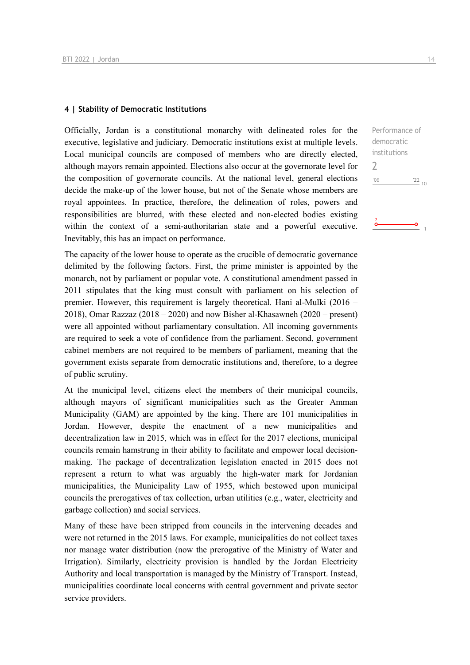#### **4 | Stability of Democratic Institutions**

Officially, Jordan is a constitutional monarchy with delineated roles for the executive, legislative and judiciary. Democratic institutions exist at multiple levels. Local municipal councils are composed of members who are directly elected, although mayors remain appointed. Elections also occur at the governorate level for the composition of governorate councils. At the national level, general elections decide the make-up of the lower house, but not of the Senate whose members are royal appointees. In practice, therefore, the delineation of roles, powers and responsibilities are blurred, with these elected and non-elected bodies existing within the context of a semi-authoritarian state and a powerful executive. Inevitably, this has an impact on performance.

The capacity of the lower house to operate as the crucible of democratic governance delimited by the following factors. First, the prime minister is appointed by the monarch, not by parliament or popular vote. A constitutional amendment passed in 2011 stipulates that the king must consult with parliament on his selection of premier. However, this requirement is largely theoretical. Hani al-Mulki (2016 – 2018), Omar Razzaz (2018 – 2020) and now Bisher al-Khasawneh (2020 – present) were all appointed without parliamentary consultation. All incoming governments are required to seek a vote of confidence from the parliament. Second, government cabinet members are not required to be members of parliament, meaning that the government exists separate from democratic institutions and, therefore, to a degree of public scrutiny.

At the municipal level, citizens elect the members of their municipal councils, although mayors of significant municipalities such as the Greater Amman Municipality (GAM) are appointed by the king. There are 101 municipalities in Jordan. However, despite the enactment of a new municipalities and decentralization law in 2015, which was in effect for the 2017 elections, municipal councils remain hamstrung in their ability to facilitate and empower local decisionmaking. The package of decentralization legislation enacted in 2015 does not represent a return to what was arguably the high-water mark for Jordanian municipalities, the Municipality Law of 1955, which bestowed upon municipal councils the prerogatives of tax collection, urban utilities (e.g., water, electricity and garbage collection) and social services.

Many of these have been stripped from councils in the intervening decades and were not returned in the 2015 laws. For example, municipalities do not collect taxes nor manage water distribution (now the prerogative of the Ministry of Water and Irrigation). Similarly, electricity provision is handled by the Jordan Electricity Authority and local transportation is managed by the Ministry of Transport. Instead, municipalities coordinate local concerns with central government and private sector service providers.

Performance of democratic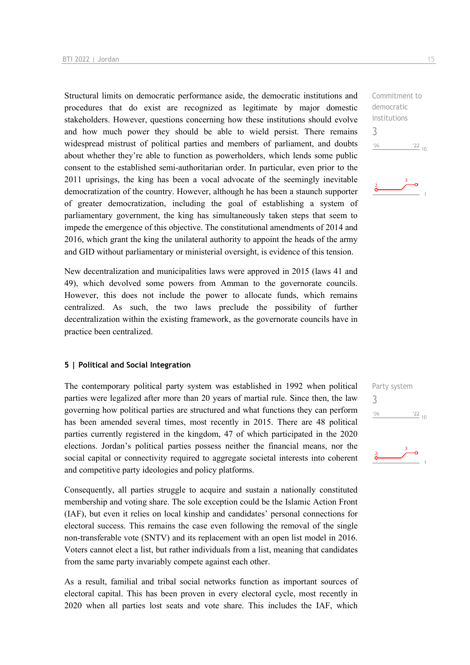Structural limits on democratic performance aside, the democratic institutions and procedures that do exist are recognized as legitimate by major domestic stakeholders. However, questions concerning how these institutions should evolve and how much power they should be able to wield persist. There remains widespread mistrust of political parties and members of parliament, and doubts about whether they're able to function as powerholders, which lends some public consent to the established semi-authoritarian order. In particular, even prior to the 2011 uprisings, the king has been a vocal advocate of the seemingly inevitable democratization of the country. However, although he has been a staunch supporter of greater democratization, including the goal of establishing a system of parliamentary government, the king has simultaneously taken steps that seem to impede the emergence of this objective. The constitutional amendments of 2014 and 2016, which grant the king the unilateral authority to appoint the heads of the army and GID without parliamentary or ministerial oversight, is evidence of this tension.

New decentralization and municipalities laws were approved in 2015 (laws 41 and 49), which devolved some powers from Amman to the governorate councils. However, this does not include the power to allocate funds, which remains centralized. As such, the two laws preclude the possibility of further decentralization within the existing framework, as the governorate councils have in practice been centralized.

#### **5 | Political and Social Integration**

The contemporary political party system was established in 1992 when political parties were legalized after more than 20 years of martial rule. Since then, the law governing how political parties are structured and what functions they can perform has been amended several times, most recently in 2015. There are 48 political parties currently registered in the kingdom, 47 of which participated in the 2020 elections. Jordan's political parties possess neither the financial means, nor the social capital or connectivity required to aggregate societal interests into coherent and competitive party ideologies and policy platforms.

Consequently, all parties struggle to acquire and sustain a nationally constituted membership and voting share. The sole exception could be the Islamic Action Front (IAF), but even it relies on local kinship and candidates' personal connections for electoral success. This remains the case even following the removal of the single non-transferable vote (SNTV) and its replacement with an open list model in 2016. Voters cannot elect a list, but rather individuals from a list, meaning that candidates from the same party invariably compete against each other.

As a result, familial and tribal social networks function as important sources of electoral capital. This has been proven in every electoral cycle, most recently in 2020 when all parties lost seats and vote share. This includes the IAF, which

3  $106$  $\frac{22}{10}$ 

democratic institutions

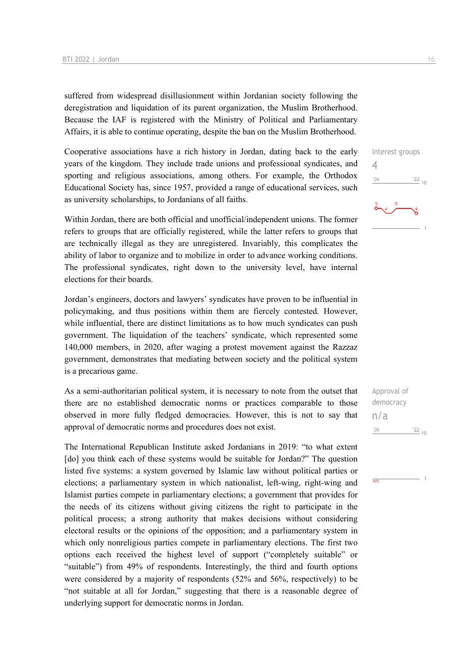suffered from widespread disillusionment within Jordanian society following the deregistration and liquidation of its parent organization, the Muslim Brotherhood. Because the IAF is registered with the Ministry of Political and Parliamentary Affairs, it is able to continue operating, despite the ban on the Muslim Brotherhood.

Cooperative associations have a rich history in Jordan, dating back to the early years of the kingdom. They include trade unions and professional syndicates, and sporting and religious associations, among others. For example, the Orthodox Educational Society has, since 1957, provided a range of educational services, such as university scholarships, to Jordanians of all faiths.

Within Jordan, there are both official and unofficial/independent unions. The former refers to groups that are officially registered, while the latter refers to groups that are technically illegal as they are unregistered. Invariably, this complicates the ability of labor to organize and to mobilize in order to advance working conditions. The professional syndicates, right down to the university level, have internal elections for their boards.

Jordan's engineers, doctors and lawyers' syndicates have proven to be influential in policymaking, and thus positions within them are fiercely contested. However, while influential, there are distinct limitations as to how much syndicates can push government. The liquidation of the teachers' syndicate, which represented some 140,000 members, in 2020, after waging a protest movement against the Razzaz government, demonstrates that mediating between society and the political system is a precarious game.

As a semi-authoritarian political system, it is necessary to note from the outset that there are no established democratic norms or practices comparable to those observed in more fully fledged democracies. However, this is not to say that approval of democratic norms and procedures does not exist.

The International Republican Institute asked Jordanians in 2019: "to what extent [do] you think each of these systems would be suitable for Jordan?" The question listed five systems: a system governed by Islamic law without political parties or elections; a parliamentary system in which nationalist, left-wing, right-wing and Islamist parties compete in parliamentary elections; a government that provides for the needs of its citizens without giving citizens the right to participate in the political process; a strong authority that makes decisions without considering electoral results or the opinions of the opposition; and a parliamentary system in which only nonreligious parties compete in parliamentary elections. The first two options each received the highest level of support ("completely suitable" or "suitable") from 49% of respondents. Interestingly, the third and fourth options were considered by a majority of respondents (52% and 56%, respectively) to be "not suitable at all for Jordan," suggesting that there is a reasonable degree of underlying support for democratic norms in Jordan.

Interest groups 4  $\frac{22}{10}$  $-06$ 

Approval of democracy n/a $^{\prime}06$  $\frac{22}{10}$ 

 $\overline{N}$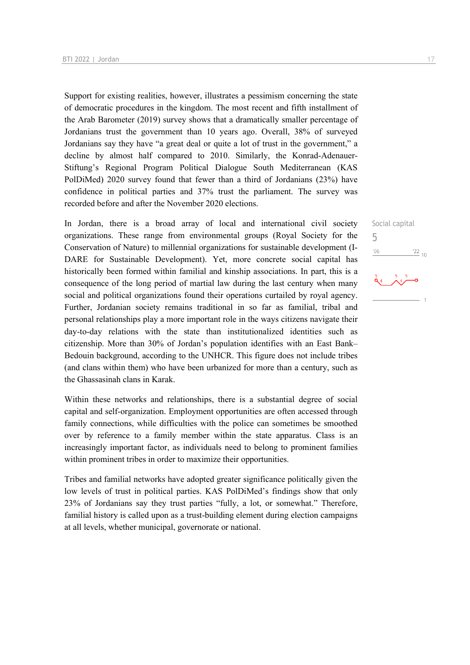Support for existing realities, however, illustrates a pessimism concerning the state of democratic procedures in the kingdom. The most recent and fifth installment of the Arab Barometer (2019) survey shows that a dramatically smaller percentage of Jordanians trust the government than 10 years ago. Overall, 38% of surveyed Jordanians say they have "a great deal or quite a lot of trust in the government," a decline by almost half compared to 2010. Similarly, the Konrad-Adenauer-Stiftung's Regional Program Political Dialogue South Mediterranean (KAS PolDiMed) 2020 survey found that fewer than a third of Jordanians (23%) have confidence in political parties and 37% trust the parliament. The survey was recorded before and after the November 2020 elections.

In Jordan, there is a broad array of local and international civil society organizations. These range from environmental groups (Royal Society for the Conservation of Nature) to millennial organizations for sustainable development (I-DARE for Sustainable Development). Yet, more concrete social capital has historically been formed within familial and kinship associations. In part, this is a consequence of the long period of martial law during the last century when many social and political organizations found their operations curtailed by royal agency. Further, Jordanian society remains traditional in so far as familial, tribal and personal relationships play a more important role in the ways citizens navigate their day-to-day relations with the state than institutionalized identities such as citizenship. More than 30% of Jordan's population identifies with an East Bank– Bedouin background, according to the UNHCR. This figure does not include tribes (and clans within them) who have been urbanized for more than a century, such as the Ghassasinah clans in Karak.

Within these networks and relationships, there is a substantial degree of social capital and self-organization. Employment opportunities are often accessed through family connections, while difficulties with the police can sometimes be smoothed over by reference to a family member within the state apparatus. Class is an increasingly important factor, as individuals need to belong to prominent families within prominent tribes in order to maximize their opportunities.

Tribes and familial networks have adopted greater significance politically given the low levels of trust in political parties. KAS PolDiMed's findings show that only 23% of Jordanians say they trust parties "fully, a lot, or somewhat." Therefore, familial history is called upon as a trust-building element during election campaigns at all levels, whether municipal, governorate or national.

Social capital 5 $^{\prime}06$  $\frac{22}{10}$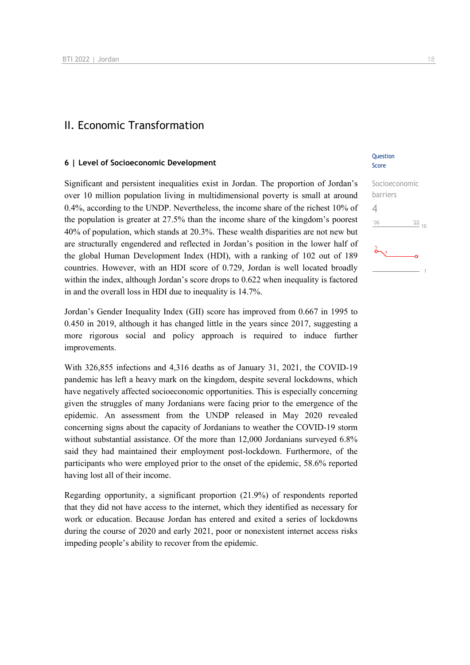## II. Economic Transformation

#### **6 | Level of Socioeconomic Development**

Significant and persistent inequalities exist in Jordan. The proportion of Jordan's over 10 million population living in multidimensional poverty is small at around 0.4%, according to the UNDP. Nevertheless, the income share of the richest 10% of the population is greater at 27.5% than the income share of the kingdom's poorest 40% of population, which stands at 20.3%. These wealth disparities are not new but are structurally engendered and reflected in Jordan's position in the lower half of the global Human Development Index (HDI), with a ranking of 102 out of 189 countries. However, with an HDI score of 0.729, Jordan is well located broadly within the index, although Jordan's score drops to 0.622 when inequality is factored in and the overall loss in HDI due to inequality is 14.7%.

Jordan's Gender Inequality Index (GII) score has improved from 0.667 in 1995 to 0.450 in 2019, although it has changed little in the years since 2017, suggesting a more rigorous social and policy approach is required to induce further improvements.

With 326,855 infections and 4,316 deaths as of January 31, 2021, the COVID-19 pandemic has left a heavy mark on the kingdom, despite several lockdowns, which have negatively affected socioeconomic opportunities. This is especially concerning given the struggles of many Jordanians were facing prior to the emergence of the epidemic. An assessment from the UNDP released in May 2020 revealed concerning signs about the capacity of Jordanians to weather the COVID-19 storm without substantial assistance. Of the more than 12,000 Jordanians surveyed 6.8% said they had maintained their employment post-lockdown. Furthermore, of the participants who were employed prior to the onset of the epidemic, 58.6% reported having lost all of their income.

Regarding opportunity, a significant proportion (21.9%) of respondents reported that they did not have access to the internet, which they identified as necessary for work or education. Because Jordan has entered and exited a series of lockdowns during the course of 2020 and early 2021, poor or nonexistent internet access risks impeding people's ability to recover from the epidemic.

#### **Ouestion** Score

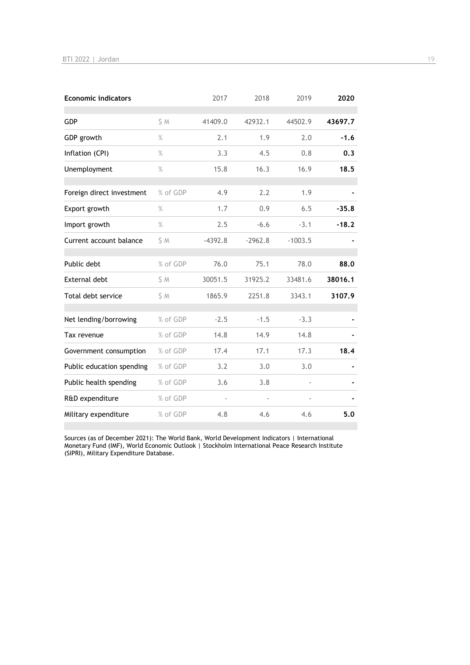| <b>Economic indicators</b> |          | 2017      | 2018      | 2019      | 2020    |
|----------------------------|----------|-----------|-----------|-----------|---------|
| GDP                        | S M      | 41409.0   | 42932.1   | 44502.9   | 43697.7 |
| GDP growth                 | $\%$     | 2.1       | 1.9       | 2.0       | $-1.6$  |
| Inflation (CPI)            | $\%$     | 3.3       | 4.5       | 0.8       | 0.3     |
| Unemployment               | $\%$     | 15.8      | 16.3      | 16.9      | 18.5    |
| Foreign direct investment  | % of GDP | 4.9       | 2.2       | 1.9       |         |
| Export growth              | $\%$     | 1.7       | 0.9       | 6.5       | $-35.8$ |
| Import growth              | $\%$     | 2.5       | $-6.6$    | $-3.1$    | $-18.2$ |
| Current account balance    | \$ M     | $-4392.8$ | $-2962.8$ | $-1003.5$ |         |
| Public debt                | % of GDP | 76.0      | 75.1      | 78.0      | 88.0    |
| <b>External debt</b>       | \$ M     | 30051.5   | 31925.2   | 33481.6   | 38016.1 |
| Total debt service         | \$ M     | 1865.9    | 2251.8    | 3343.1    | 3107.9  |
| Net lending/borrowing      | % of GDP | $-2.5$    | $-1.5$    | $-3.3$    |         |
| Tax revenue                | % of GDP | 14.8      | 14.9      | 14.8      |         |
| Government consumption     | % of GDP | 17.4      | 17.1      | 17.3      | 18.4    |
| Public education spending  | % of GDP | 3.2       | 3.0       | 3.0       |         |
| Public health spending     | % of GDP | 3.6       | 3.8       |           |         |
| R&D expenditure            | % of GDP |           |           |           |         |
| Military expenditure       | % of GDP | 4.8       | 4.6       | 4.6       | 5.0     |

Sources (as of December 2021): The World Bank, World Development Indicators | International Monetary Fund (IMF), World Economic Outlook | Stockholm International Peace Research Institute (SIPRI), Military Expenditure Database.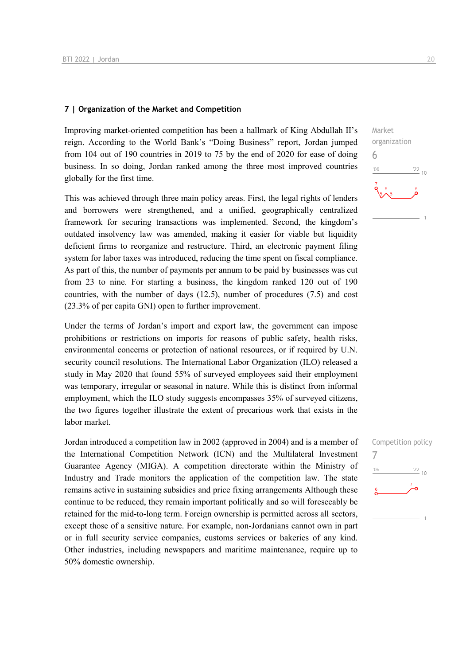#### **7 | Organization of the Market and Competition**

Improving market-oriented competition has been a hallmark of King Abdullah II's reign. According to the World Bank's "Doing Business" report, Jordan jumped from 104 out of 190 countries in 2019 to 75 by the end of 2020 for ease of doing business. In so doing, Jordan ranked among the three most improved countries globally for the first time.

This was achieved through three main policy areas. First, the legal rights of lenders and borrowers were strengthened, and a unified, geographically centralized framework for securing transactions was implemented. Second, the kingdom's outdated insolvency law was amended, making it easier for viable but liquidity deficient firms to reorganize and restructure. Third, an electronic payment filing system for labor taxes was introduced, reducing the time spent on fiscal compliance. As part of this, the number of payments per annum to be paid by businesses was cut from 23 to nine. For starting a business, the kingdom ranked 120 out of 190 countries, with the number of days (12.5), number of procedures (7.5) and cost (23.3% of per capita GNI) open to further improvement.

Under the terms of Jordan's import and export law, the government can impose prohibitions or restrictions on imports for reasons of public safety, health risks, environmental concerns or protection of national resources, or if required by U.N. security council resolutions. The International Labor Organization (ILO) released a study in May 2020 that found 55% of surveyed employees said their employment was temporary, irregular or seasonal in nature. While this is distinct from informal employment, which the ILO study suggests encompasses 35% of surveyed citizens, the two figures together illustrate the extent of precarious work that exists in the labor market.

Jordan introduced a competition law in 2002 (approved in 2004) and is a member of the International Competition Network (ICN) and the Multilateral Investment Guarantee Agency (MIGA). A competition directorate within the Ministry of Industry and Trade monitors the application of the competition law. The state remains active in sustaining subsidies and price fixing arrangements Although these continue to be reduced, they remain important politically and so will foreseeably be retained for the mid-to-long term. Foreign ownership is permitted across all sectors, except those of a sensitive nature. For example, non-Jordanians cannot own in part or in full security service companies, customs services or bakeries of any kind. Other industries, including newspapers and maritime maintenance, require up to 50% domestic ownership.



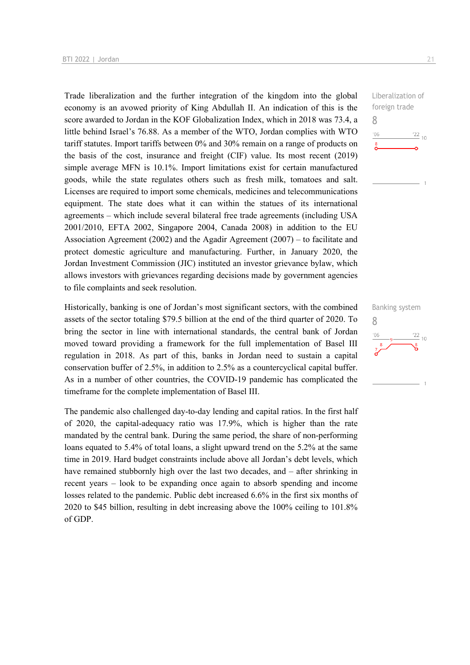Trade liberalization and the further integration of the kingdom into the global economy is an avowed priority of King Abdullah II. An indication of this is the score awarded to Jordan in the KOF Globalization Index, which in 2018 was 73.4, a little behind Israel's 76.88. As a member of the WTO, Jordan complies with WTO tariff statutes. Import tariffs between 0% and 30% remain on a range of products on the basis of the cost, insurance and freight (CIF) value. Its most recent (2019) simple average MFN is 10.1%. Import limitations exist for certain manufactured goods, while the state regulates others such as fresh milk, tomatoes and salt. Licenses are required to import some chemicals, medicines and telecommunications equipment. The state does what it can within the statues of its international agreements – which include several bilateral free trade agreements (including USA 2001/2010, EFTA 2002, Singapore 2004, Canada 2008) in addition to the EU Association Agreement (2002) and the Agadir Agreement (2007) – to facilitate and protect domestic agriculture and manufacturing. Further, in January 2020, the Jordan Investment Commission (JIC) instituted an investor grievance bylaw, which allows investors with grievances regarding decisions made by government agencies to file complaints and seek resolution.

Historically, banking is one of Jordan's most significant sectors, with the combined assets of the sector totaling \$79.5 billion at the end of the third quarter of 2020. To bring the sector in line with international standards, the central bank of Jordan moved toward providing a framework for the full implementation of Basel III regulation in 2018. As part of this, banks in Jordan need to sustain a capital conservation buffer of 2.5%, in addition to 2.5% as a countercyclical capital buffer. As in a number of other countries, the COVID-19 pandemic has complicated the timeframe for the complete implementation of Basel III.

The pandemic also challenged day-to-day lending and capital ratios. In the first half of 2020, the capital-adequacy ratio was 17.9%, which is higher than the rate mandated by the central bank. During the same period, the share of non-performing loans equated to 5.4% of total loans, a slight upward trend on the 5.2% at the same time in 2019. Hard budget constraints include above all Jordan's debt levels, which have remained stubbornly high over the last two decades, and – after shrinking in recent years – look to be expanding once again to absorb spending and income losses related to the pandemic. Public debt increased 6.6% in the first six months of 2020 to \$45 billion, resulting in debt increasing above the 100% ceiling to 101.8% of GDP.

Liberalization of foreign trade 8  $06'$  $\frac{22}{10}$  $\sum_{i=1}^{8}$ 

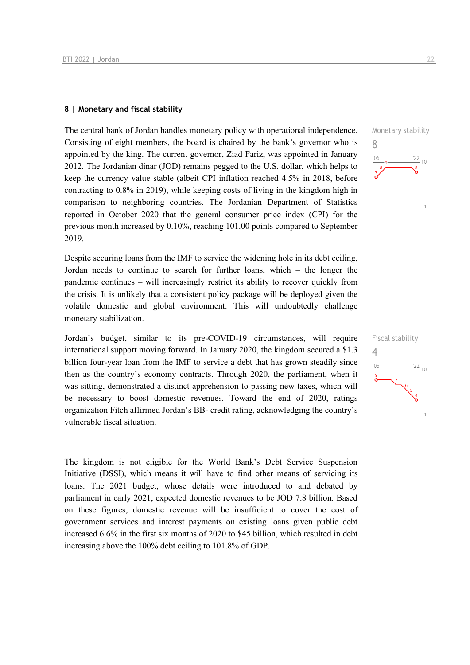#### **8 | Monetary and fiscal stability**

The central bank of Jordan handles monetary policy with operational independence. Consisting of eight members, the board is chaired by the bank's governor who is appointed by the king. The current governor, Ziad Fariz, was appointed in January 2012. The Jordanian dinar (JOD) remains pegged to the U.S. dollar, which helps to keep the currency value stable (albeit CPI inflation reached 4.5% in 2018, before contracting to 0.8% in 2019), while keeping costs of living in the kingdom high in comparison to neighboring countries. The Jordanian Department of Statistics reported in October 2020 that the general consumer price index (CPI) for the previous month increased by 0.10%, reaching 101.00 points compared to September 2019.

Despite securing loans from the IMF to service the widening hole in its debt ceiling, Jordan needs to continue to search for further loans, which – the longer the pandemic continues – will increasingly restrict its ability to recover quickly from the crisis. It is unlikely that a consistent policy package will be deployed given the volatile domestic and global environment. This will undoubtedly challenge monetary stabilization.

Jordan's budget, similar to its pre-COVID-19 circumstances, will require international support moving forward. In January 2020, the kingdom secured a \$1.3 billion four-year loan from the IMF to service a debt that has grown steadily since then as the country's economy contracts. Through 2020, the parliament, when it was sitting, demonstrated a distinct apprehension to passing new taxes, which will be necessary to boost domestic revenues. Toward the end of 2020, ratings organization Fitch affirmed Jordan's BB- credit rating, acknowledging the country's vulnerable fiscal situation.

The kingdom is not eligible for the World Bank's Debt Service Suspension Initiative (DSSI), which means it will have to find other means of servicing its loans. The 2021 budget, whose details were introduced to and debated by parliament in early 2021, expected domestic revenues to be JOD 7.8 billion. Based on these figures, domestic revenue will be insufficient to cover the cost of government services and interest payments on existing loans given public debt increased 6.6% in the first six months of 2020 to \$45 billion, which resulted in debt increasing above the 100% debt ceiling to 101.8% of GDP.



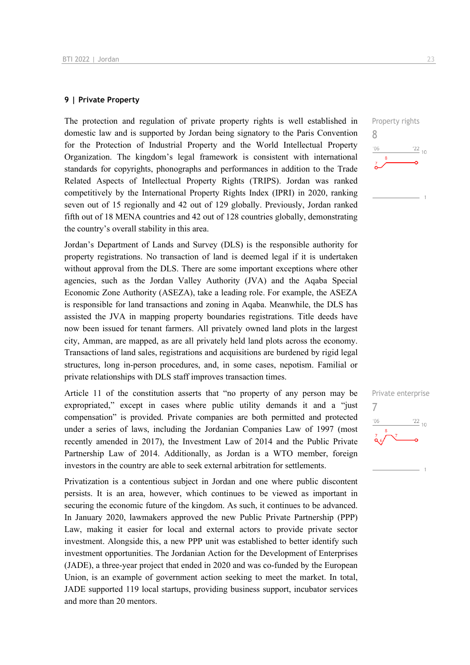#### **9 | Private Property**

The protection and regulation of private property rights is well established in domestic law and is supported by Jordan being signatory to the Paris Convention for the Protection of Industrial Property and the World Intellectual Property Organization. The kingdom's legal framework is consistent with international standards for copyrights, phonographs and performances in addition to the Trade Related Aspects of Intellectual Property Rights (TRIPS). Jordan was ranked competitively by the International Property Rights Index (IPRI) in 2020, ranking seven out of 15 regionally and 42 out of 129 globally. Previously, Jordan ranked fifth out of 18 MENA countries and 42 out of 128 countries globally, demonstrating the country's overall stability in this area.

Jordan's Department of Lands and Survey (DLS) is the responsible authority for property registrations. No transaction of land is deemed legal if it is undertaken without approval from the DLS. There are some important exceptions where other agencies, such as the Jordan Valley Authority (JVA) and the Aqaba Special Economic Zone Authority (ASEZA), take a leading role. For example, the ASEZA is responsible for land transactions and zoning in Aqaba. Meanwhile, the DLS has assisted the JVA in mapping property boundaries registrations. Title deeds have now been issued for tenant farmers. All privately owned land plots in the largest city, Amman, are mapped, as are all privately held land plots across the economy. Transactions of land sales, registrations and acquisitions are burdened by rigid legal structures, long in-person procedures, and, in some cases, nepotism. Familial or private relationships with DLS staff improves transaction times.

Article 11 of the constitution asserts that "no property of any person may be expropriated," except in cases where public utility demands it and a "just compensation" is provided. Private companies are both permitted and protected under a series of laws, including the Jordanian Companies Law of 1997 (most recently amended in 2017), the Investment Law of 2014 and the Public Private Partnership Law of 2014. Additionally, as Jordan is a WTO member, foreign investors in the country are able to seek external arbitration for settlements.

Privatization is a contentious subject in Jordan and one where public discontent persists. It is an area, however, which continues to be viewed as important in securing the economic future of the kingdom. As such, it continues to be advanced. In January 2020, lawmakers approved the new Public Private Partnership (PPP) Law, making it easier for local and external actors to provide private sector investment. Alongside this, a new PPP unit was established to better identify such investment opportunities. The Jordanian Action for the Development of Enterprises (JADE), a three-year project that ended in 2020 and was co-funded by the European Union, is an example of government action seeking to meet the market. In total, JADE supported 119 local startups, providing business support, incubator services and more than 20 mentors.

Property rights 8  $\frac{22}{10}$  $106$ 

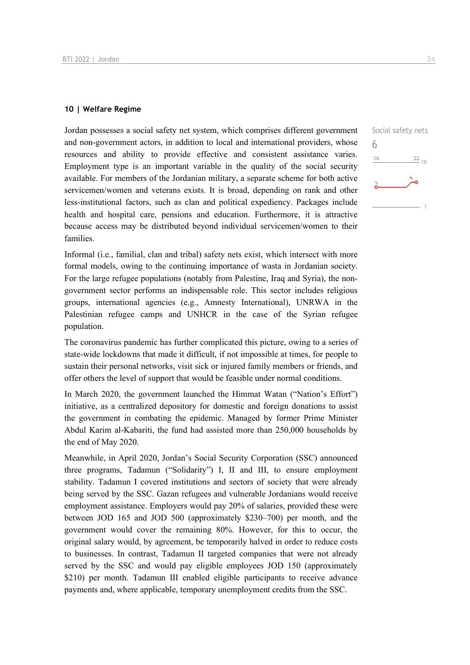#### **10 | Welfare Regime**

Jordan possesses a social safety net system, which comprises different government and non-government actors, in addition to local and international providers, whose resources and ability to provide effective and consistent assistance varies. Employment type is an important variable in the quality of the social security available. For members of the Jordanian military, a separate scheme for both active servicemen/women and veterans exists. It is broad, depending on rank and other less-institutional factors, such as clan and political expediency. Packages include health and hospital care, pensions and education. Furthermore, it is attractive because access may be distributed beyond individual servicemen/women to their families.

Informal (i.e., familial, clan and tribal) safety nets exist, which intersect with more formal models, owing to the continuing importance of wasta in Jordanian society. For the large refugee populations (notably from Palestine, Iraq and Syria), the nongovernment sector performs an indispensable role. This sector includes religious groups, international agencies (e.g., Amnesty International), UNRWA in the Palestinian refugee camps and UNHCR in the case of the Syrian refugee population.

The coronavirus pandemic has further complicated this picture, owing to a series of state-wide lockdowns that made it difficult, if not impossible at times, for people to sustain their personal networks, visit sick or injured family members or friends, and offer others the level of support that would be feasible under normal conditions.

In March 2020, the government launched the Himmat Watan ("Nation's Effort") initiative, as a centralized depository for domestic and foreign donations to assist the government in combating the epidemic. Managed by former Prime Minister Abdul Karim al-Kabariti, the fund had assisted more than 250,000 households by the end of May 2020.

Meanwhile, in April 2020, Jordan's Social Security Corporation (SSC) announced three programs, Tadamun ("Solidarity") I, II and III, to ensure employment stability. Tadamun I covered institutions and sectors of society that were already being served by the SSC. Gazan refugees and vulnerable Jordanians would receive employment assistance. Employers would pay 20% of salaries, provided these were between JOD 165 and JOD 500 (approximately \$230–700) per month, and the government would cover the remaining 80%. However, for this to occur, the original salary would, by agreement, be temporarily halved in order to reduce costs to businesses. In contrast, Tadamun II targeted companies that were not already served by the SSC and would pay eligible employees JOD 150 (approximately \$210) per month. Tadamun III enabled eligible participants to receive advance payments and, where applicable, temporary unemployment credits from the SSC.

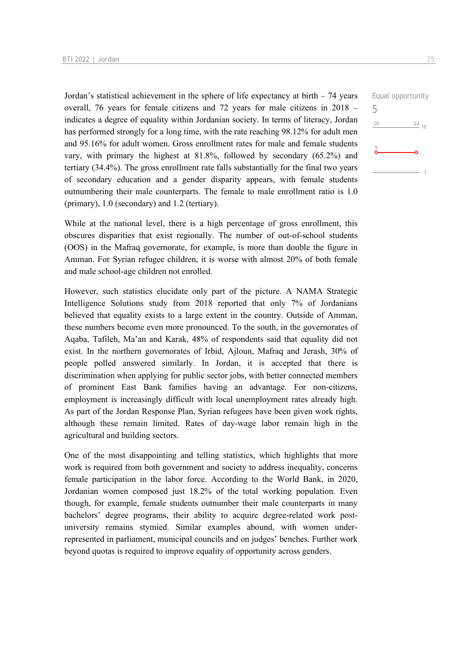Jordan's statistical achievement in the sphere of life expectancy at birth  $-74$  years overall, 76 years for female citizens and 72 years for male citizens in 2018 – indicates a degree of equality within Jordanian society. In terms of literacy, Jordan has performed strongly for a long time, with the rate reaching 98.12% for adult men and 95.16% for adult women. Gross enrollment rates for male and female students vary, with primary the highest at 81.8%, followed by secondary (65.2%) and tertiary (34.4%). The gross enrollment rate falls substantially for the final two years of secondary education and a gender disparity appears, with female students outnumbering their male counterparts. The female to male enrollment ratio is 1.0 (primary), 1.0 (secondary) and 1.2 (tertiary).

While at the national level, there is a high percentage of gross enrollment, this obscures disparities that exist regionally. The number of out-of-school students (OOS) in the Mafraq governorate, for example, is more than double the figure in Amman. For Syrian refugee children, it is worse with almost 20% of both female and male school-age children not enrolled.

However, such statistics elucidate only part of the picture. A NAMA Strategic Intelligence Solutions study from 2018 reported that only 7% of Jordanians believed that equality exists to a large extent in the country. Outside of Amman, these numbers become even more pronounced. To the south, in the governorates of Aqaba, Tafileh, Ma'an and Karak, 48% of respondents said that equality did not exist. In the northern governorates of Irbid, Ajloun, Mafraq and Jerash, 30% of people polled answered similarly. In Jordan, it is accepted that there is discrimination when applying for public sector jobs, with better connected members of prominent East Bank families having an advantage. For non-citizens, employment is increasingly difficult with local unemployment rates already high. As part of the Jordan Response Plan, Syrian refugees have been given work rights, although these remain limited. Rates of day-wage labor remain high in the agricultural and building sectors.

One of the most disappointing and telling statistics, which highlights that more work is required from both government and society to address inequality, concerns female participation in the labor force. According to the World Bank, in 2020, Jordanian women composed just 18.2% of the total working population. Even though, for example, female students outnumber their male counterparts in many bachelors' degree programs, their ability to acquire degree-related work postuniversity remains stymied. Similar examples abound, with women underrepresented in parliament, municipal councils and on judges' benches. Further work beyond quotas is required to improve equality of opportunity across genders.

Equal opportunity

 $\frac{22}{10}$ 

5 $06'$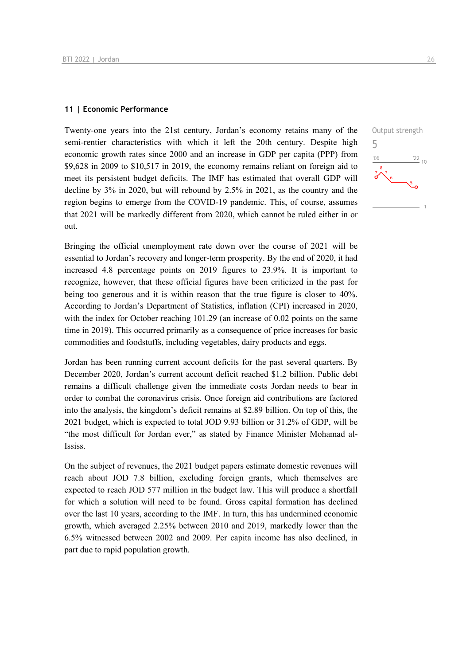#### **11 | Economic Performance**

Twenty-one years into the 21st century, Jordan's economy retains many of the semi-rentier characteristics with which it left the 20th century. Despite high economic growth rates since 2000 and an increase in GDP per capita (PPP) from \$9,628 in 2009 to \$10,517 in 2019, the economy remains reliant on foreign aid to meet its persistent budget deficits. The IMF has estimated that overall GDP will decline by 3% in 2020, but will rebound by 2.5% in 2021, as the country and the region begins to emerge from the COVID-19 pandemic. This, of course, assumes that 2021 will be markedly different from 2020, which cannot be ruled either in or out.

Bringing the official unemployment rate down over the course of 2021 will be essential to Jordan's recovery and longer-term prosperity. By the end of 2020, it had increased 4.8 percentage points on 2019 figures to 23.9%. It is important to recognize, however, that these official figures have been criticized in the past for being too generous and it is within reason that the true figure is closer to 40%. According to Jordan's Department of Statistics, inflation (CPI) increased in 2020, with the index for October reaching 101.29 (an increase of 0.02 points on the same time in 2019). This occurred primarily as a consequence of price increases for basic commodities and foodstuffs, including vegetables, dairy products and eggs.

Jordan has been running current account deficits for the past several quarters. By December 2020, Jordan's current account deficit reached \$1.2 billion. Public debt remains a difficult challenge given the immediate costs Jordan needs to bear in order to combat the coronavirus crisis. Once foreign aid contributions are factored into the analysis, the kingdom's deficit remains at \$2.89 billion. On top of this, the 2021 budget, which is expected to total JOD 9.93 billion or 31.2% of GDP, will be "the most difficult for Jordan ever," as stated by Finance Minister Mohamad al-Ississ.

On the subject of revenues, the 2021 budget papers estimate domestic revenues will reach about JOD 7.8 billion, excluding foreign grants, which themselves are expected to reach JOD 577 million in the budget law. This will produce a shortfall for which a solution will need to be found. Gross capital formation has declined over the last 10 years, according to the IMF. In turn, this has undermined economic growth, which averaged 2.25% between 2010 and 2019, markedly lower than the 6.5% witnessed between 2002 and 2009. Per capita income has also declined, in part due to rapid population growth.

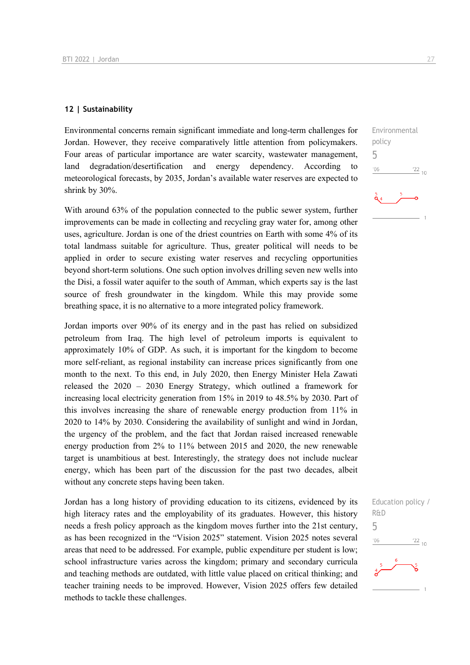#### **12 | Sustainability**

Environmental concerns remain significant immediate and long-term challenges for Jordan. However, they receive comparatively little attention from policymakers. Four areas of particular importance are water scarcity, wastewater management, land degradation/desertification and energy dependency. According to meteorological forecasts, by 2035, Jordan's available water reserves are expected to shrink by 30%.

With around 63% of the population connected to the public sewer system, further improvements can be made in collecting and recycling gray water for, among other uses, agriculture. Jordan is one of the driest countries on Earth with some 4% of its total landmass suitable for agriculture. Thus, greater political will needs to be applied in order to secure existing water reserves and recycling opportunities beyond short-term solutions. One such option involves drilling seven new wells into the Disi, a fossil water aquifer to the south of Amman, which experts say is the last source of fresh groundwater in the kingdom. While this may provide some breathing space, it is no alternative to a more integrated policy framework.

Jordan imports over 90% of its energy and in the past has relied on subsidized petroleum from Iraq. The high level of petroleum imports is equivalent to approximately 10% of GDP. As such, it is important for the kingdom to become more self-reliant, as regional instability can increase prices significantly from one month to the next. To this end, in July 2020, then Energy Minister Hela Zawati released the 2020 – 2030 Energy Strategy, which outlined a framework for increasing local electricity generation from 15% in 2019 to 48.5% by 2030. Part of this involves increasing the share of renewable energy production from 11% in 2020 to 14% by 2030. Considering the availability of sunlight and wind in Jordan, the urgency of the problem, and the fact that Jordan raised increased renewable energy production from 2% to 11% between 2015 and 2020, the new renewable target is unambitious at best. Interestingly, the strategy does not include nuclear energy, which has been part of the discussion for the past two decades, albeit without any concrete steps having been taken.

Jordan has a long history of providing education to its citizens, evidenced by its high literacy rates and the employability of its graduates. However, this history needs a fresh policy approach as the kingdom moves further into the 21st century, as has been recognized in the "Vision 2025" statement. Vision 2025 notes several areas that need to be addressed. For example, public expenditure per student is low; school infrastructure varies across the kingdom; primary and secondary curricula and teaching methods are outdated, with little value placed on critical thinking; and teacher training needs to be improved. However, Vision 2025 offers few detailed methods to tackle these challenges.

Environmental

 $\frac{22}{10}$ 

policy 5

 $06'$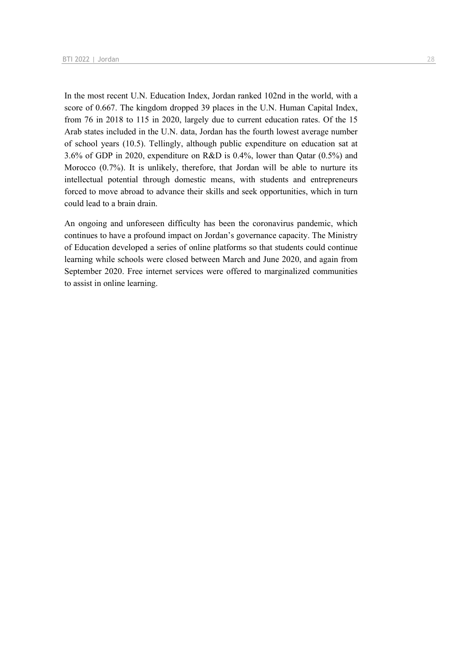In the most recent U.N. Education Index, Jordan ranked 102nd in the world, with a score of 0.667. The kingdom dropped 39 places in the U.N. Human Capital Index, from 76 in 2018 to 115 in 2020, largely due to current education rates. Of the 15 Arab states included in the U.N. data, Jordan has the fourth lowest average number of school years (10.5). Tellingly, although public expenditure on education sat at 3.6% of GDP in 2020, expenditure on R&D is 0.4%, lower than Qatar (0.5%) and Morocco (0.7%). It is unlikely, therefore, that Jordan will be able to nurture its intellectual potential through domestic means, with students and entrepreneurs forced to move abroad to advance their skills and seek opportunities, which in turn could lead to a brain drain.

An ongoing and unforeseen difficulty has been the coronavirus pandemic, which continues to have a profound impact on Jordan's governance capacity. The Ministry of Education developed a series of online platforms so that students could continue learning while schools were closed between March and June 2020, and again from September 2020. Free internet services were offered to marginalized communities to assist in online learning.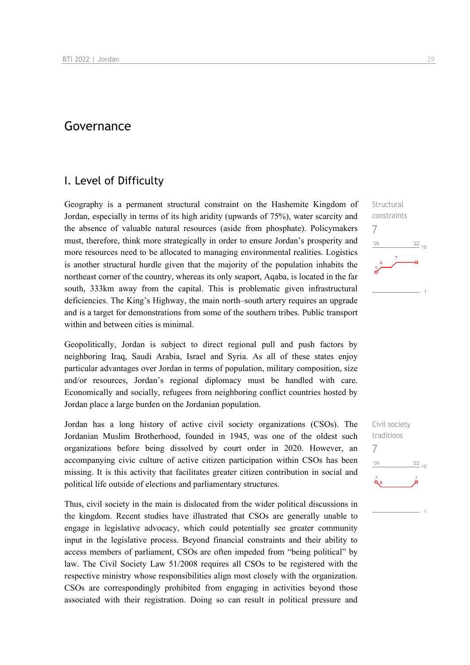## Governance

## I. Level of Difficulty

Geography is a permanent structural constraint on the Hashemite Kingdom of Jordan, especially in terms of its high aridity (upwards of 75%), water scarcity and the absence of valuable natural resources (aside from phosphate). Policymakers must, therefore, think more strategically in order to ensure Jordan's prosperity and more resources need to be allocated to managing environmental realities. Logistics is another structural hurdle given that the majority of the population inhabits the northeast corner of the country, whereas its only seaport, Aqaba, is located in the far south, 333km away from the capital. This is problematic given infrastructural deficiencies. The King's Highway, the main north–south artery requires an upgrade and is a target for demonstrations from some of the southern tribes. Public transport within and between cities is minimal.

Geopolitically, Jordan is subject to direct regional pull and push factors by neighboring Iraq, Saudi Arabia, Israel and Syria. As all of these states enjoy particular advantages over Jordan in terms of population, military composition, size and/or resources, Jordan's regional diplomacy must be handled with care. Economically and socially, refugees from neighboring conflict countries hosted by Jordan place a large burden on the Jordanian population.

Jordan has a long history of active civil society organizations (CSOs). The Jordanian Muslim Brotherhood, founded in 1945, was one of the oldest such organizations before being dissolved by court order in 2020. However, an accompanying civic culture of active citizen participation within CSOs has been missing. It is this activity that facilitates greater citizen contribution in social and political life outside of elections and parliamentary structures.

Thus, civil society in the main is dislocated from the wider political discussions in the kingdom. Recent studies have illustrated that CSOs are generally unable to engage in legislative advocacy, which could potentially see greater community input in the legislative process. Beyond financial constraints and their ability to access members of parliament, CSOs are often impeded from "being political" by law. The Civil Society Law 51/2008 requires all CSOs to be registered with the respective ministry whose responsibilities align most closely with the organization. CSOs are correspondingly prohibited from engaging in activities beyond those associated with their registration. Doing so can result in political pressure and

 $^{22}$  10

**Structural** constraints

7

 $n<sub>6</sub>$ 

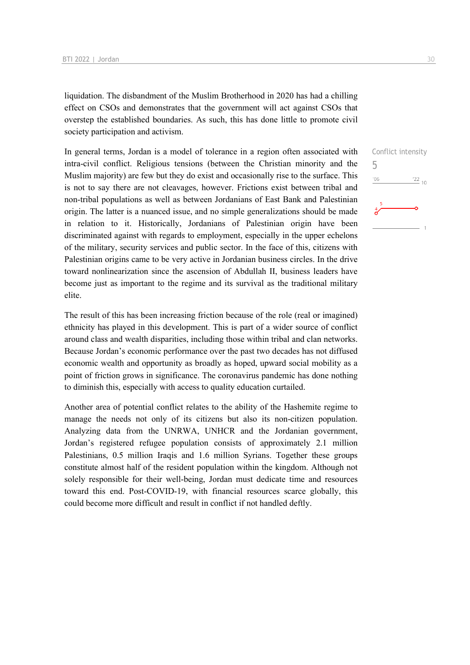liquidation. The disbandment of the Muslim Brotherhood in 2020 has had a chilling effect on CSOs and demonstrates that the government will act against CSOs that overstep the established boundaries. As such, this has done little to promote civil society participation and activism.

In general terms, Jordan is a model of tolerance in a region often associated with intra-civil conflict. Religious tensions (between the Christian minority and the Muslim majority) are few but they do exist and occasionally rise to the surface. This is not to say there are not cleavages, however. Frictions exist between tribal and non-tribal populations as well as between Jordanians of East Bank and Palestinian origin. The latter is a nuanced issue, and no simple generalizations should be made in relation to it. Historically, Jordanians of Palestinian origin have been discriminated against with regards to employment, especially in the upper echelons of the military, security services and public sector. In the face of this, citizens with Palestinian origins came to be very active in Jordanian business circles. In the drive toward nonlinearization since the ascension of Abdullah II, business leaders have become just as important to the regime and its survival as the traditional military elite.

The result of this has been increasing friction because of the role (real or imagined) ethnicity has played in this development. This is part of a wider source of conflict around class and wealth disparities, including those within tribal and clan networks. Because Jordan's economic performance over the past two decades has not diffused economic wealth and opportunity as broadly as hoped, upward social mobility as a point of friction grows in significance. The coronavirus pandemic has done nothing to diminish this, especially with access to quality education curtailed.

Another area of potential conflict relates to the ability of the Hashemite regime to manage the needs not only of its citizens but also its non-citizen population. Analyzing data from the UNRWA, UNHCR and the Jordanian government, Jordan's registered refugee population consists of approximately 2.1 million Palestinians, 0.5 million Iraqis and 1.6 million Syrians. Together these groups constitute almost half of the resident population within the kingdom. Although not solely responsible for their well-being, Jordan must dedicate time and resources toward this end. Post-COVID-19, with financial resources scarce globally, this could become more difficult and result in conflict if not handled deftly.

5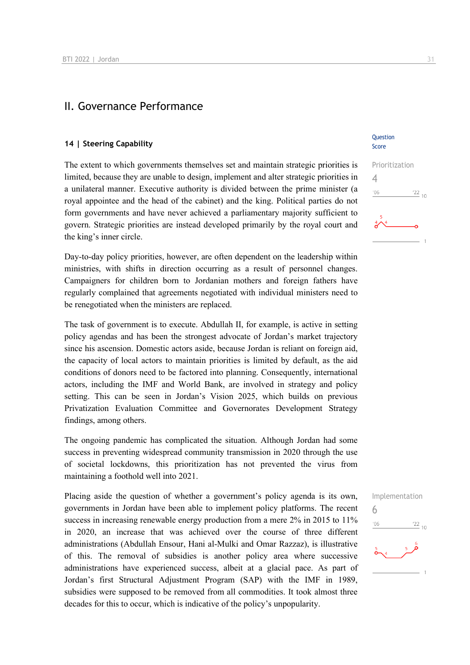## II. Governance Performance

#### **14 | Steering Capability**

The extent to which governments themselves set and maintain strategic priorities is limited, because they are unable to design, implement and alter strategic priorities in a unilateral manner. Executive authority is divided between the prime minister (a royal appointee and the head of the cabinet) and the king. Political parties do not form governments and have never achieved a parliamentary majority sufficient to govern. Strategic priorities are instead developed primarily by the royal court and the king's inner circle.

Day-to-day policy priorities, however, are often dependent on the leadership within ministries, with shifts in direction occurring as a result of personnel changes. Campaigners for children born to Jordanian mothers and foreign fathers have regularly complained that agreements negotiated with individual ministers need to be renegotiated when the ministers are replaced.

The task of government is to execute. Abdullah II, for example, is active in setting policy agendas and has been the strongest advocate of Jordan's market trajectory since his ascension. Domestic actors aside, because Jordan is reliant on foreign aid, the capacity of local actors to maintain priorities is limited by default, as the aid conditions of donors need to be factored into planning. Consequently, international actors, including the IMF and World Bank, are involved in strategy and policy setting. This can be seen in Jordan's Vision 2025, which builds on previous Privatization Evaluation Committee and Governorates Development Strategy findings, among others.

The ongoing pandemic has complicated the situation. Although Jordan had some success in preventing widespread community transmission in 2020 through the use of societal lockdowns, this prioritization has not prevented the virus from maintaining a foothold well into 2021.

Placing aside the question of whether a government's policy agenda is its own, governments in Jordan have been able to implement policy platforms. The recent success in increasing renewable energy production from a mere 2% in 2015 to 11% in 2020, an increase that was achieved over the course of three different administrations (Abdullah Ensour, Hani al-Mulki and Omar Razzaz), is illustrative of this. The removal of subsidies is another policy area where successive administrations have experienced success, albeit at a glacial pace. As part of Jordan's first Structural Adjustment Program (SAP) with the IMF in 1989, subsidies were supposed to be removed from all commodities. It took almost three decades for this to occur, which is indicative of the policy's unpopularity.

#### Question Score



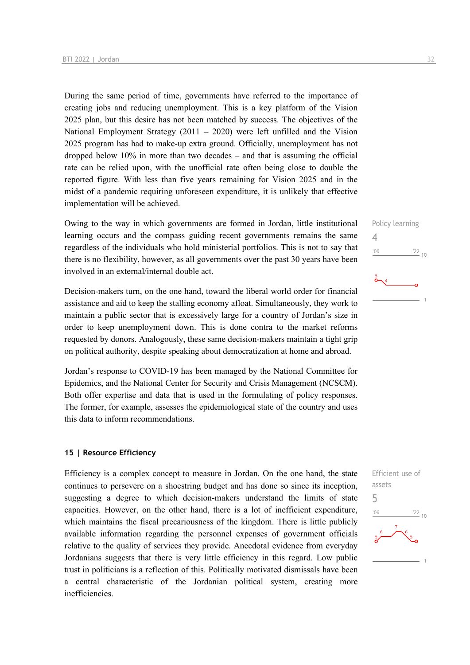During the same period of time, governments have referred to the importance of creating jobs and reducing unemployment. This is a key platform of the Vision 2025 plan, but this desire has not been matched by success. The objectives of the National Employment Strategy  $(2011 - 2020)$  were left unfilled and the Vision 2025 program has had to make-up extra ground. Officially, unemployment has not dropped below 10% in more than two decades – and that is assuming the official rate can be relied upon, with the unofficial rate often being close to double the reported figure. With less than five years remaining for Vision 2025 and in the midst of a pandemic requiring unforeseen expenditure, it is unlikely that effective implementation will be achieved.

Owing to the way in which governments are formed in Jordan, little institutional learning occurs and the compass guiding recent governments remains the same regardless of the individuals who hold ministerial portfolios. This is not to say that there is no flexibility, however, as all governments over the past 30 years have been involved in an external/internal double act.

Decision-makers turn, on the one hand, toward the liberal world order for financial assistance and aid to keep the stalling economy afloat. Simultaneously, they work to maintain a public sector that is excessively large for a country of Jordan's size in order to keep unemployment down. This is done contra to the market reforms requested by donors. Analogously, these same decision-makers maintain a tight grip on political authority, despite speaking about democratization at home and abroad.

Jordan's response to COVID-19 has been managed by the National Committee for Epidemics, and the National Center for Security and Crisis Management (NCSCM). Both offer expertise and data that is used in the formulating of policy responses. The former, for example, assesses the epidemiological state of the country and uses this data to inform recommendations.

#### **15 | Resource Efficiency**

Efficiency is a complex concept to measure in Jordan. On the one hand, the state continues to persevere on a shoestring budget and has done so since its inception, suggesting a degree to which decision-makers understand the limits of state capacities. However, on the other hand, there is a lot of inefficient expenditure, which maintains the fiscal precariousness of the kingdom. There is little publicly available information regarding the personnel expenses of government officials relative to the quality of services they provide. Anecdotal evidence from everyday Jordanians suggests that there is very little efficiency in this regard. Low public trust in politicians is a reflection of this. Politically motivated dismissals have been a central characteristic of the Jordanian political system, creating more inefficiencies.

4

 $^{\prime}06$ 



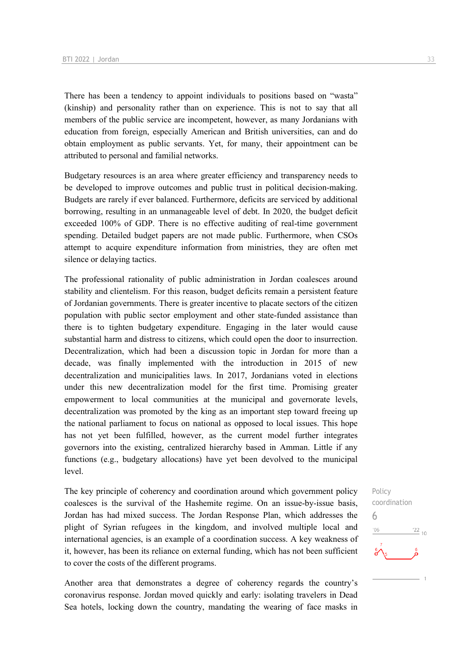There has been a tendency to appoint individuals to positions based on "wasta" (kinship) and personality rather than on experience. This is not to say that all members of the public service are incompetent, however, as many Jordanians with education from foreign, especially American and British universities, can and do obtain employment as public servants. Yet, for many, their appointment can be attributed to personal and familial networks.

Budgetary resources is an area where greater efficiency and transparency needs to be developed to improve outcomes and public trust in political decision-making. Budgets are rarely if ever balanced. Furthermore, deficits are serviced by additional borrowing, resulting in an unmanageable level of debt. In 2020, the budget deficit exceeded 100% of GDP. There is no effective auditing of real-time government spending. Detailed budget papers are not made public. Furthermore, when CSOs attempt to acquire expenditure information from ministries, they are often met silence or delaying tactics.

The professional rationality of public administration in Jordan coalesces around stability and clientelism. For this reason, budget deficits remain a persistent feature of Jordanian governments. There is greater incentive to placate sectors of the citizen population with public sector employment and other state-funded assistance than there is to tighten budgetary expenditure. Engaging in the later would cause substantial harm and distress to citizens, which could open the door to insurrection. Decentralization, which had been a discussion topic in Jordan for more than a decade, was finally implemented with the introduction in 2015 of new decentralization and municipalities laws. In 2017, Jordanians voted in elections under this new decentralization model for the first time. Promising greater empowerment to local communities at the municipal and governorate levels, decentralization was promoted by the king as an important step toward freeing up the national parliament to focus on national as opposed to local issues. This hope has not yet been fulfilled, however, as the current model further integrates governors into the existing, centralized hierarchy based in Amman. Little if any functions (e.g., budgetary allocations) have yet been devolved to the municipal level.

The key principle of coherency and coordination around which government policy coalesces is the survival of the Hashemite regime. On an issue-by-issue basis, Jordan has had mixed success. The Jordan Response Plan, which addresses the plight of Syrian refugees in the kingdom, and involved multiple local and international agencies, is an example of a coordination success. A key weakness of it, however, has been its reliance on external funding, which has not been sufficient to cover the costs of the different programs.

Another area that demonstrates a degree of coherency regards the country's coronavirus response. Jordan moved quickly and early: isolating travelers in Dead Sea hotels, locking down the country, mandating the wearing of face masks in

Policy coordination 6 $\frac{22}{10}$  $^{\prime}06$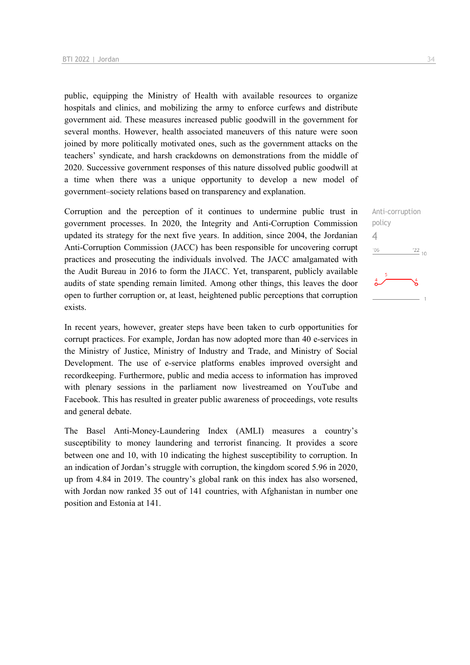public, equipping the Ministry of Health with available resources to organize hospitals and clinics, and mobilizing the army to enforce curfews and distribute government aid. These measures increased public goodwill in the government for several months. However, health associated maneuvers of this nature were soon joined by more politically motivated ones, such as the government attacks on the teachers' syndicate, and harsh crackdowns on demonstrations from the middle of 2020. Successive government responses of this nature dissolved public goodwill at a time when there was a unique opportunity to develop a new model of government–society relations based on transparency and explanation.

Corruption and the perception of it continues to undermine public trust in government processes. In 2020, the Integrity and Anti-Corruption Commission updated its strategy for the next five years. In addition, since 2004, the Jordanian Anti-Corruption Commission (JACC) has been responsible for uncovering corrupt practices and prosecuting the individuals involved. The JACC amalgamated with the Audit Bureau in 2016 to form the JIACC. Yet, transparent, publicly available audits of state spending remain limited. Among other things, this leaves the door open to further corruption or, at least, heightened public perceptions that corruption exists.

In recent years, however, greater steps have been taken to curb opportunities for corrupt practices. For example, Jordan has now adopted more than 40 e-services in the Ministry of Justice, Ministry of Industry and Trade, and Ministry of Social Development. The use of e-service platforms enables improved oversight and recordkeeping. Furthermore, public and media access to information has improved with plenary sessions in the parliament now livestreamed on YouTube and Facebook. This has resulted in greater public awareness of proceedings, vote results and general debate.

The Basel Anti-Money-Laundering Index (AMLI) measures a country's susceptibility to money laundering and terrorist financing. It provides a score between one and 10, with 10 indicating the highest susceptibility to corruption. In an indication of Jordan's struggle with corruption, the kingdom scored 5.96 in 2020, up from 4.84 in 2019. The country's global rank on this index has also worsened, with Jordan now ranked 35 out of 141 countries, with Afghanistan in number one position and Estonia at 141.

Anti-corruption policy 4 $'06$  $\frac{22}{10}$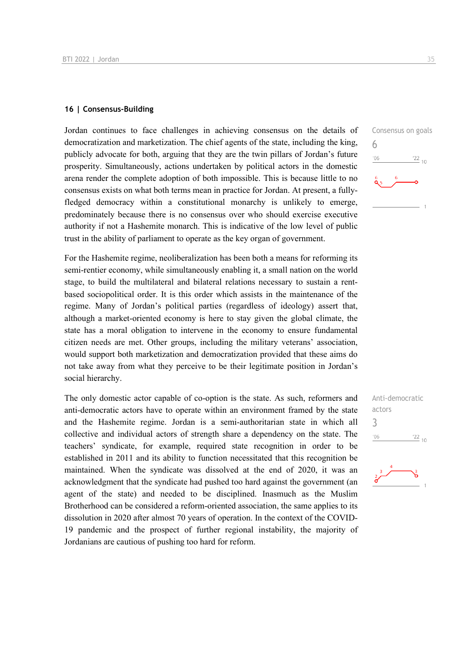#### **16 | Consensus-Building**

Jordan continues to face challenges in achieving consensus on the details of democratization and marketization. The chief agents of the state, including the king, publicly advocate for both, arguing that they are the twin pillars of Jordan's future prosperity. Simultaneously, actions undertaken by political actors in the domestic arena render the complete adoption of both impossible. This is because little to no consensus exists on what both terms mean in practice for Jordan. At present, a fullyfledged democracy within a constitutional monarchy is unlikely to emerge, predominately because there is no consensus over who should exercise executive authority if not a Hashemite monarch. This is indicative of the low level of public trust in the ability of parliament to operate as the key organ of government.

For the Hashemite regime, neoliberalization has been both a means for reforming its semi-rentier economy, while simultaneously enabling it, a small nation on the world stage, to build the multilateral and bilateral relations necessary to sustain a rentbased sociopolitical order. It is this order which assists in the maintenance of the regime. Many of Jordan's political parties (regardless of ideology) assert that, although a market-oriented economy is here to stay given the global climate, the state has a moral obligation to intervene in the economy to ensure fundamental citizen needs are met. Other groups, including the military veterans' association, would support both marketization and democratization provided that these aims do not take away from what they perceive to be their legitimate position in Jordan's social hierarchy.

The only domestic actor capable of co-option is the state. As such, reformers and anti-democratic actors have to operate within an environment framed by the state and the Hashemite regime. Jordan is a semi-authoritarian state in which all collective and individual actors of strength share a dependency on the state. The teachers' syndicate, for example, required state recognition in order to be established in 2011 and its ability to function necessitated that this recognition be maintained. When the syndicate was dissolved at the end of 2020, it was an acknowledgment that the syndicate had pushed too hard against the government (an agent of the state) and needed to be disciplined. Inasmuch as the Muslim Brotherhood can be considered a reform-oriented association, the same applies to its dissolution in 2020 after almost 70 years of operation. In the context of the COVID-19 pandemic and the prospect of further regional instability, the majority of Jordanians are cautious of pushing too hard for reform.





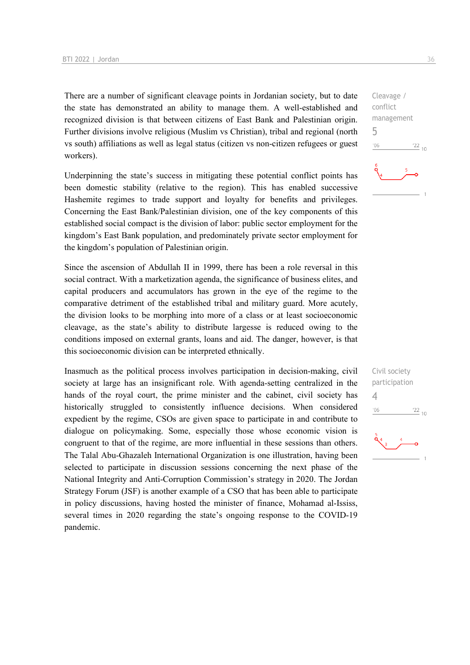There are a number of significant cleavage points in Jordanian society, but to date the state has demonstrated an ability to manage them. A well-established and recognized division is that between citizens of East Bank and Palestinian origin. Further divisions involve religious (Muslim vs Christian), tribal and regional (north vs south) affiliations as well as legal status (citizen vs non-citizen refugees or guest workers).

Underpinning the state's success in mitigating these potential conflict points has been domestic stability (relative to the region). This has enabled successive Hashemite regimes to trade support and loyalty for benefits and privileges. Concerning the East Bank/Palestinian division, one of the key components of this established social compact is the division of labor: public sector employment for the kingdom's East Bank population, and predominately private sector employment for the kingdom's population of Palestinian origin.

Since the ascension of Abdullah II in 1999, there has been a role reversal in this social contract. With a marketization agenda, the significance of business elites, and capital producers and accumulators has grown in the eye of the regime to the comparative detriment of the established tribal and military guard. More acutely, the division looks to be morphing into more of a class or at least socioeconomic cleavage, as the state's ability to distribute largesse is reduced owing to the conditions imposed on external grants, loans and aid. The danger, however, is that this socioeconomic division can be interpreted ethnically.

Inasmuch as the political process involves participation in decision-making, civil society at large has an insignificant role. With agenda-setting centralized in the hands of the royal court, the prime minister and the cabinet, civil society has historically struggled to consistently influence decisions. When considered expedient by the regime, CSOs are given space to participate in and contribute to dialogue on policymaking. Some, especially those whose economic vision is congruent to that of the regime, are more influential in these sessions than others. The Talal Abu-Ghazaleh International Organization is one illustration, having been selected to participate in discussion sessions concerning the next phase of the National Integrity and Anti-Corruption Commission's strategy in 2020. The Jordan Strategy Forum (JSF) is another example of a CSO that has been able to participate in policy discussions, having hosted the minister of finance, Mohamad al-Ississ, several times in 2020 regarding the state's ongoing response to the COVID-19 pandemic.

Cleavage / conflict management 5  $\frac{22}{10}$  $n<sub>6</sub>$ 

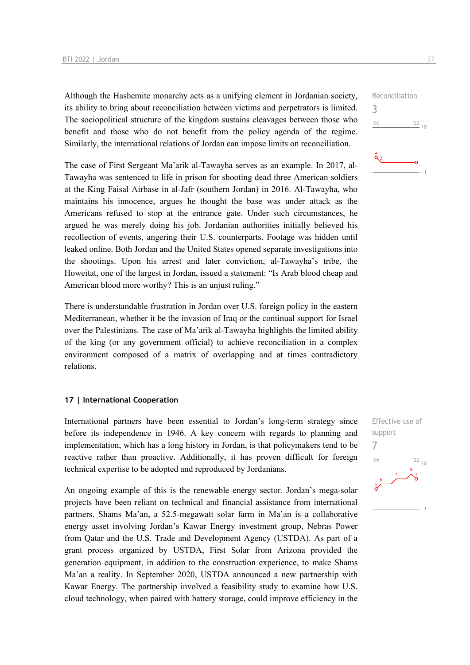Although the Hashemite monarchy acts as a unifying element in Jordanian society, its ability to bring about reconciliation between victims and perpetrators is limited. The sociopolitical structure of the kingdom sustains cleavages between those who benefit and those who do not benefit from the policy agenda of the regime. Similarly, the international relations of Jordan can impose limits on reconciliation.

The case of First Sergeant Ma'arik al-Tawayha serves as an example. In 2017, al-Tawayha was sentenced to life in prison for shooting dead three American soldiers at the King Faisal Airbase in al-Jafr (southern Jordan) in 2016. Al-Tawayha, who maintains his innocence, argues he thought the base was under attack as the Americans refused to stop at the entrance gate. Under such circumstances, he argued he was merely doing his job. Jordanian authorities initially believed his recollection of events, angering their U.S. counterparts. Footage was hidden until leaked online. Both Jordan and the United States opened separate investigations into the shootings. Upon his arrest and later conviction, al-Tawayha's tribe, the Howeitat, one of the largest in Jordan, issued a statement: "Is Arab blood cheap and American blood more worthy? This is an unjust ruling."

There is understandable frustration in Jordan over U.S. foreign policy in the eastern Mediterranean, whether it be the invasion of Iraq or the continual support for Israel over the Palestinians. The case of Ma'arik al-Tawayha highlights the limited ability of the king (or any government official) to achieve reconciliation in a complex environment composed of a matrix of overlapping and at times contradictory relations.

#### **17 | International Cooperation**

International partners have been essential to Jordan's long-term strategy since before its independence in 1946. A key concern with regards to planning and implementation, which has a long history in Jordan, is that policymakers tend to be reactive rather than proactive. Additionally, it has proven difficult for foreign technical expertise to be adopted and reproduced by Jordanians.

An ongoing example of this is the renewable energy sector. Jordan's mega-solar projects have been reliant on technical and financial assistance from international partners. Shams Ma'an, a 52.5-megawatt solar farm in Ma'an is a collaborative energy asset involving Jordan's Kawar Energy investment group, Nebras Power from Qatar and the U.S. Trade and Development Agency (USTDA). As part of a grant process organized by USTDA, First Solar from Arizona provided the generation equipment, in addition to the construction experience, to make Shams Ma'an a reality. In September 2020, USTDA announced a new partnership with Kawar Energy. The partnership involved a feasibility study to examine how U.S. cloud technology, when paired with battery storage, could improve efficiency in the



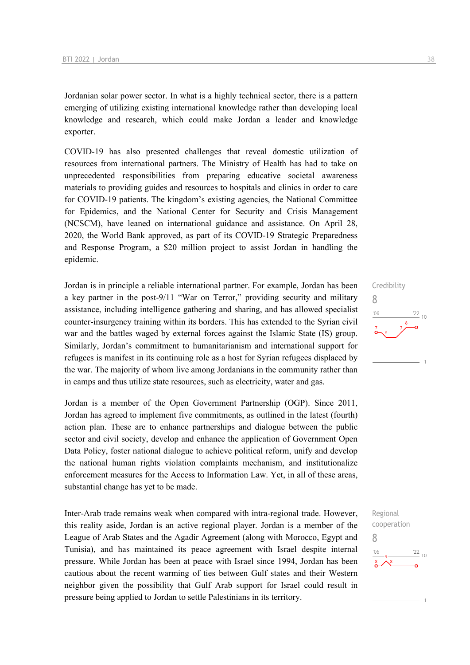Jordanian solar power sector. In what is a highly technical sector, there is a pattern emerging of utilizing existing international knowledge rather than developing local knowledge and research, which could make Jordan a leader and knowledge exporter.

COVID-19 has also presented challenges that reveal domestic utilization of resources from international partners. The Ministry of Health has had to take on unprecedented responsibilities from preparing educative societal awareness materials to providing guides and resources to hospitals and clinics in order to care for COVID-19 patients. The kingdom's existing agencies, the National Committee for Epidemics, and the National Center for Security and Crisis Management (NCSCM), have leaned on international guidance and assistance. On April 28, 2020, the World Bank approved, as part of its COVID-19 Strategic Preparedness and Response Program, a \$20 million project to assist Jordan in handling the epidemic.

Jordan is in principle a reliable international partner. For example, Jordan has been a key partner in the post-9/11 "War on Terror," providing security and military assistance, including intelligence gathering and sharing, and has allowed specialist counter-insurgency training within its borders. This has extended to the Syrian civil war and the battles waged by external forces against the Islamic State (IS) group. Similarly, Jordan's commitment to humanitarianism and international support for refugees is manifest in its continuing role as a host for Syrian refugees displaced by the war. The majority of whom live among Jordanians in the community rather than in camps and thus utilize state resources, such as electricity, water and gas.

Jordan is a member of the Open Government Partnership (OGP). Since 2011, Jordan has agreed to implement five commitments, as outlined in the latest (fourth) action plan. These are to enhance partnerships and dialogue between the public sector and civil society, develop and enhance the application of Government Open Data Policy, foster national dialogue to achieve political reform, unify and develop the national human rights violation complaints mechanism, and institutionalize enforcement measures for the Access to Information Law. Yet, in all of these areas, substantial change has yet to be made.

Inter-Arab trade remains weak when compared with intra-regional trade. However, this reality aside, Jordan is an active regional player. Jordan is a member of the League of Arab States and the Agadir Agreement (along with Morocco, Egypt and Tunisia), and has maintained its peace agreement with Israel despite internal pressure. While Jordan has been at peace with Israel since 1994, Jordan has been cautious about the recent warming of ties between Gulf states and their Western neighbor given the possibility that Gulf Arab support for Israel could result in pressure being applied to Jordan to settle Palestinians in its territory.



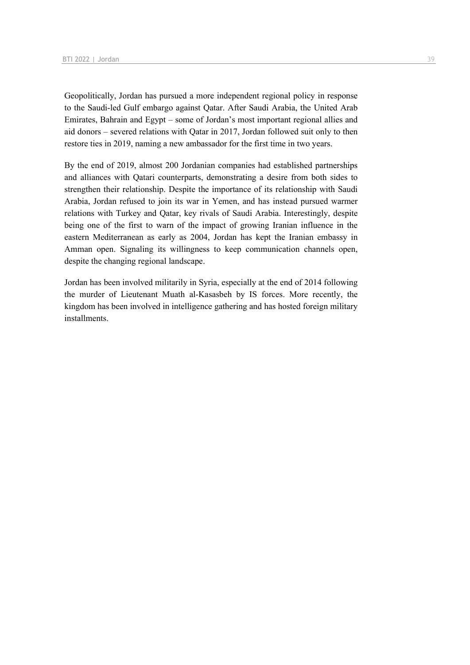Geopolitically, Jordan has pursued a more independent regional policy in response to the Saudi-led Gulf embargo against Qatar. After Saudi Arabia, the United Arab Emirates, Bahrain and Egypt – some of Jordan's most important regional allies and aid donors – severed relations with Qatar in 2017, Jordan followed suit only to then restore ties in 2019, naming a new ambassador for the first time in two years.

By the end of 2019, almost 200 Jordanian companies had established partnerships and alliances with Qatari counterparts, demonstrating a desire from both sides to strengthen their relationship. Despite the importance of its relationship with Saudi Arabia, Jordan refused to join its war in Yemen, and has instead pursued warmer relations with Turkey and Qatar, key rivals of Saudi Arabia. Interestingly, despite being one of the first to warn of the impact of growing Iranian influence in the eastern Mediterranean as early as 2004, Jordan has kept the Iranian embassy in Amman open. Signaling its willingness to keep communication channels open, despite the changing regional landscape.

Jordan has been involved militarily in Syria, especially at the end of 2014 following the murder of Lieutenant Muath al-Kasasbeh by IS forces. More recently, the kingdom has been involved in intelligence gathering and has hosted foreign military installments.